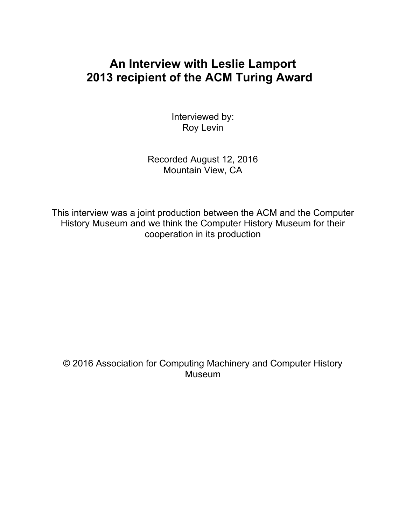# **An Interview with Leslie Lamport 2013 recipient of the ACM Turing Award**

Interviewed by: Roy Levin

Recorded August 12, 2016 Mountain View, CA

This interview was a joint production between the ACM and the Computer History Museum and we think the Computer History Museum for their cooperation in its production

© 2016 Association for Computing Machinery and Computer History **Museum**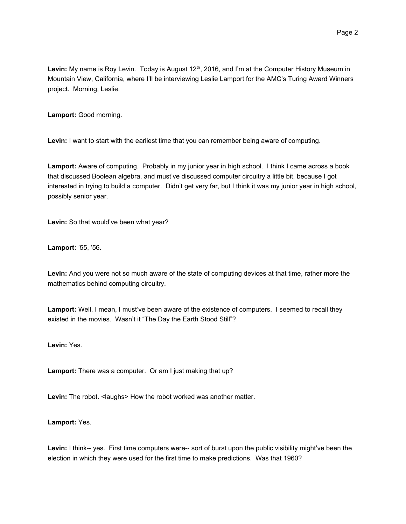Levin: My name is Roy Levin. Today is August 12<sup>th</sup>, 2016, and I'm at the Computer History Museum in Mountain View, California, where I'll be interviewing Leslie Lamport for the AMC's Turing Award Winners project. Morning, Leslie.

**Lamport:** Good morning.

**Levin:** I want to start with the earliest time that you can remember being aware of computing.

**Lamport:** Aware of computing. Probably in my junior year in high school. I think I came across a book that discussed Boolean algebra, and must've discussed computer circuitry a little bit, because I got interested in trying to build a computer. Didn't get very far, but I think it was my junior year in high school, possibly senior year.

**Levin:** So that would've been what year?

**Lamport:** '55, '56.

**Levin:** And you were not so much aware of the state of computing devices at that time, rather more the mathematics behind computing circuitry.

**Lamport:** Well, I mean, I must've been aware of the existence of computers. I seemed to recall they existed in the movies. Wasn't it "The Day the Earth Stood Still"?

**Levin:** Yes.

**Lamport:** There was a computer. Or am I just making that up?

Levin: The robot. <laughs> How the robot worked was another matter.

**Lamport:** Yes.

Levin: I think-- yes. First time computers were-- sort of burst upon the public visibility might've been the election in which they were used for the first time to make predictions. Was that 1960?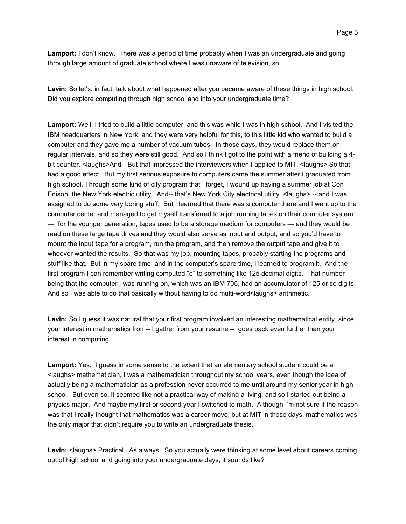**Lamport:** I don't know. There was a period of time probably when I was an undergraduate and going through large amount of graduate school where I was unaware of television, so…

Levin: So let's, in fact, talk about what happened after you became aware of these things in high school. Did you explore computing through high school and into your undergraduate time?

**Lamport:** Well, I tried to build a little computer, and this was while I was in high school. And I visited the IBM headquarters in New York, and they were very helpful for this, to this little kid who wanted to build a computer and they gave me a number of vacuum tubes. In those days, they would replace them on regular intervals, and so they were still good. And so I think I got to the point with a friend of building a 4 bit counter. <laughs>And-- But that impressed the interviewers when I applied to MIT. <laughs> So that had a good effect. But my first serious exposure to computers came the summer after I graduated from high school. Through some kind of city program that I forget, I wound up having a summer job at Con Edison, the New York electric utility. And-- that's New York City electrical utility. < laughs> -- and I was assigned to do some very boring stuff. But I learned that there was a computer there and I went up to the computer center and managed to get myself transferred to a job running tapes on their computer system — for the younger generation, tapes used to be a storage medium for computers — and they would be read on these large tape drives and they would also serve as input and output, and so you'd have to mount the input tape for a program, run the program, and then remove the output tape and give it to whoever wanted the results. So that was my job, mounting tapes, probably starting the programs and stuff like that. But in my spare time, and in the computer's spare time, I learned to program it. And the first program I can remember writing computed "e" to something like 125 decimal digits. That number being that the computer I was running on, which was an IBM 705, had an accumulator of 125 or so digits. And so I was able to do that basically without having to do multi-word<laughs> arithmetic.

**Levin:** So I guess it was natural that your first program involved an interesting mathematical entity, since your interest in mathematics from-- I gather from your resume -- goes back even further than your interest in computing.

**Lamport:** Yes. I guess in some sense to the extent that an elementary school student could be a <laughs> mathematician, I was a mathematician throughout my school years, even though the idea of actually being a mathematician as a profession never occurred to me until around my senior year in high school. But even so, it seemed like not a practical way of making a living, and so I started out being a physics major. And maybe my first or second year I switched to math. Although I'm not sure if the reason was that I really thought that mathematics was a career move, but at MIT in those days, mathematics was the only major that didn't require you to write an undergraduate thesis.

Levin: <laughs> Practical. As always. So you actually were thinking at some level about careers coming out of high school and going into your undergraduate days, it sounds like?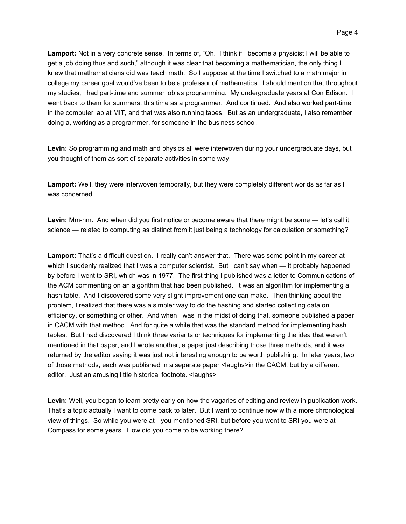**Lamport:** Not in a very concrete sense. In terms of, "Oh. I think if I become a physicist I will be able to get a job doing thus and such," although it was clear that becoming a mathematician, the only thing I knew that mathematicians did was teach math. So I suppose at the time I switched to a math major in college my career goal would've been to be a professor of mathematics. I should mention that throughout my studies, I had part-time and summer job as programming. My undergraduate years at Con Edison. I went back to them for summers, this time as a programmer. And continued. And also worked part-time in the computer lab at MIT, and that was also running tapes. But as an undergraduate, I also remember doing a, working as a programmer, for someone in the business school.

**Levin:** So programming and math and physics all were interwoven during your undergraduate days, but you thought of them as sort of separate activities in some way.

**Lamport:** Well, they were interwoven temporally, but they were completely different worlds as far as I was concerned.

**Levin:** Mm-hm. And when did you first notice or become aware that there might be some — let's call it science — related to computing as distinct from it just being a technology for calculation or something?

**Lamport:** That's a difficult question. I really can't answer that. There was some point in my career at which I suddenly realized that I was a computer scientist. But I can't say when — it probably happened by before I went to SRI, which was in 1977. The first thing I published was a letter to Communications of the ACM commenting on an algorithm that had been published. It was an algorithm for implementing a hash table. And I discovered some very slight improvement one can make. Then thinking about the problem, I realized that there was a simpler way to do the hashing and started collecting data on efficiency, or something or other. And when I was in the midst of doing that, someone published a paper in CACM with that method. And for quite a while that was the standard method for implementing hash tables. But I had discovered I think three variants or techniques for implementing the idea that weren't mentioned in that paper, and I wrote another, a paper just describing those three methods, and it was returned by the editor saying it was just not interesting enough to be worth publishing. In later years, two of those methods, each was published in a separate paper <laughs>in the CACM, but by a different editor. Just an amusing little historical footnote. <laughs>

**Levin:** Well, you began to learn pretty early on how the vagaries of editing and review in publication work. That's a topic actually I want to come back to later. But I want to continue now with a more chronological view of things. So while you were at-- you mentioned SRI, but before you went to SRI you were at Compass for some years. How did you come to be working there?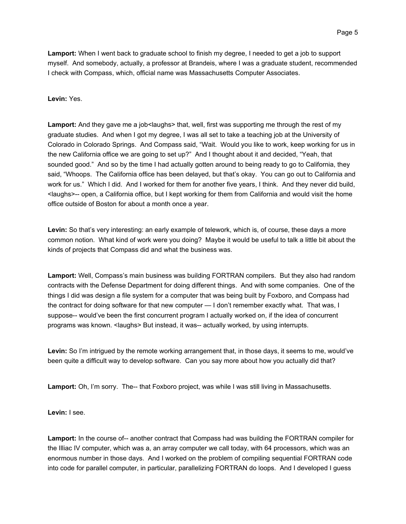**Lamport:** When I went back to graduate school to finish my degree, I needed to get a job to support myself. And somebody, actually, a professor at Brandeis, where I was a graduate student, recommended I check with Compass, which, official name was Massachusetts Computer Associates.

# **Levin:** Yes.

Lamport: And they gave me a job<laughs> that, well, first was supporting me through the rest of my graduate studies. And when I got my degree, I was all set to take a teaching job at the University of Colorado in Colorado Springs. And Compass said, "Wait. Would you like to work, keep working for us in the new California office we are going to set up?" And I thought about it and decided, "Yeah, that sounded good." And so by the time I had actually gotten around to being ready to go to California, they said, "Whoops. The California office has been delayed, but that's okay. You can go out to California and work for us." Which I did. And I worked for them for another five years, I think. And they never did build, <laughs>-- open, a California office, but I kept working for them from California and would visit the home office outside of Boston for about a month once a year.

Levin: So that's very interesting: an early example of telework, which is, of course, these days a more common notion. What kind of work were you doing? Maybe it would be useful to talk a little bit about the kinds of projects that Compass did and what the business was.

**Lamport:** Well, Compass's main business was building FORTRAN compilers. But they also had random contracts with the Defense Department for doing different things. And with some companies. One of the things I did was design a file system for a computer that was being built by Foxboro, and Compass had the contract for doing software for that new computer — I don't remember exactly what. That was, I suppose-- would've been the first concurrent program I actually worked on, if the idea of concurrent programs was known. <laughs> But instead, it was-- actually worked, by using interrupts.

**Levin:** So I'm intrigued by the remote working arrangement that, in those days, it seems to me, would've been quite a difficult way to develop software. Can you say more about how you actually did that?

**Lamport:** Oh, I'm sorry. The-- that Foxboro project, was while I was still living in Massachusetts.

**Levin:** I see.

**Lamport:** In the course of-- another contract that Compass had was building the FORTRAN compiler for the Illiac IV computer, which was a, an array computer we call today, with 64 processors, which was an enormous number in those days. And I worked on the problem of compiling sequential FORTRAN code into code for parallel computer, in particular, parallelizing FORTRAN do loops. And I developed I guess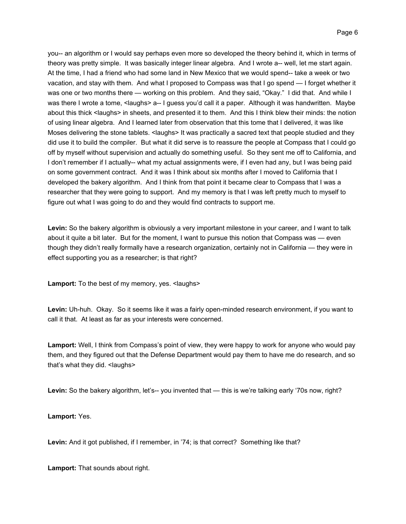you-- an algorithm or I would say perhaps even more so developed the theory behind it, which in terms of theory was pretty simple. It was basically integer linear algebra. And I wrote a-- well, let me start again. At the time, I had a friend who had some land in New Mexico that we would spend-- take a week or two vacation, and stay with them. And what I proposed to Compass was that I go spend — I forget whether it was one or two months there — working on this problem. And they said, "Okay." I did that. And while I was there I wrote a tome, <laughs> a-- I guess you'd call it a paper. Although it was handwritten. Maybe about this thick <laughs> in sheets, and presented it to them. And this I think blew their minds: the notion of using linear algebra. And I learned later from observation that this tome that I delivered, it was like Moses delivering the stone tablets. < laughs > It was practically a sacred text that people studied and they did use it to build the compiler. But what it did serve is to reassure the people at Compass that I could go off by myself without supervision and actually do something useful. So they sent me off to California, and I don't remember if I actually-- what my actual assignments were, if I even had any, but I was being paid on some government contract. And it was I think about six months after I moved to California that I developed the bakery algorithm. And I think from that point it became clear to Compass that I was a researcher that they were going to support. And my memory is that I was left pretty much to myself to figure out what I was going to do and they would find contracts to support me.

**Levin:** So the bakery algorithm is obviously a very important milestone in your career, and I want to talk about it quite a bit later. But for the moment, I want to pursue this notion that Compass was — even though they didn't really formally have a research organization, certainly not in California — they were in effect supporting you as a researcher; is that right?

Lamport: To the best of my memory, yes. <laughs>

**Levin:** Uh-huh. Okay. So it seems like it was a fairly open-minded research environment, if you want to call it that. At least as far as your interests were concerned.

**Lamport:** Well, I think from Compass's point of view, they were happy to work for anyone who would pay them, and they figured out that the Defense Department would pay them to have me do research, and so that's what they did. <laughs>

Levin: So the bakery algorithm, let's-- you invented that — this is we're talking early '70s now, right?

**Lamport:** Yes.

**Levin:** And it got published, if I remember, in '74; is that correct? Something like that?

**Lamport:** That sounds about right.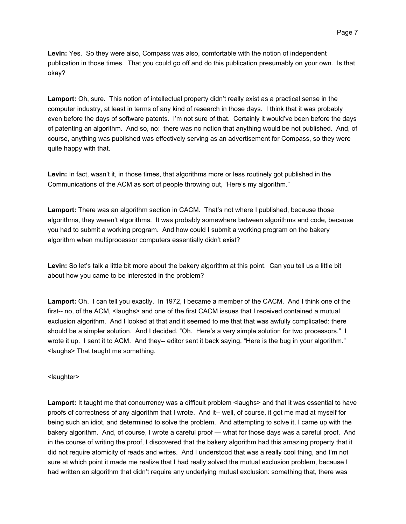**Levin:** Yes. So they were also, Compass was also, comfortable with the notion of independent publication in those times. That you could go off and do this publication presumably on your own. Is that okay?

**Lamport:** Oh, sure. This notion of intellectual property didn't really exist as a practical sense in the computer industry, at least in terms of any kind of research in those days. I think that it was probably even before the days of software patents. I'm not sure of that. Certainly it would've been before the days of patenting an algorithm. And so, no: there was no notion that anything would be not published. And, of course, anything was published was effectively serving as an advertisement for Compass, so they were quite happy with that.

**Levin:** In fact, wasn't it, in those times, that algorithms more or less routinely got published in the Communications of the ACM as sort of people throwing out, "Here's my algorithm."

**Lamport:** There was an algorithm section in CACM. That's not where I published, because those algorithms, they weren't algorithms. It was probably somewhere between algorithms and code, because you had to submit a working program. And how could I submit a working program on the bakery algorithm when multiprocessor computers essentially didn't exist?

**Levin:** So let's talk a little bit more about the bakery algorithm at this point. Can you tell us a little bit about how you came to be interested in the problem?

**Lamport:** Oh. I can tell you exactly. In 1972, I became a member of the CACM. And I think one of the first-- no, of the ACM, <laughs> and one of the first CACM issues that I received contained a mutual exclusion algorithm. And I looked at that and it seemed to me that that was awfully complicated: there should be a simpler solution. And I decided, "Oh. Here's a very simple solution for two processors." I wrote it up. I sent it to ACM. And they-- editor sent it back saying, "Here is the bug in your algorithm." <laughs> That taught me something.

## <laughter>

**Lamport:** It taught me that concurrency was a difficult problem <laughs> and that it was essential to have proofs of correctness of any algorithm that I wrote. And it-- well, of course, it got me mad at myself for being such an idiot, and determined to solve the problem. And attempting to solve it, I came up with the bakery algorithm. And, of course, I wrote a careful proof — what for those days was a careful proof. And in the course of writing the proof, I discovered that the bakery algorithm had this amazing property that it did not require atomicity of reads and writes. And I understood that was a really cool thing, and I'm not sure at which point it made me realize that I had really solved the mutual exclusion problem, because I had written an algorithm that didn't require any underlying mutual exclusion: something that, there was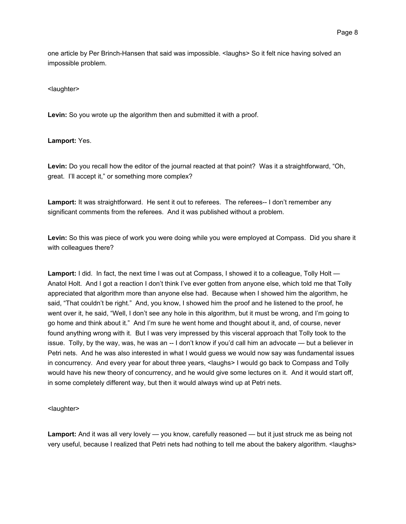one article by Per Brinch-Hansen that said was impossible. < laughs> So it felt nice having solved an impossible problem.

<laughter>

**Levin:** So you wrote up the algorithm then and submitted it with a proof.

## **Lamport:** Yes.

**Levin:** Do you recall how the editor of the journal reacted at that point? Was it a straightforward, "Oh, great. I'll accept it," or something more complex?

**Lamport:** It was straightforward. He sent it out to referees. The referees-- I don't remember any significant comments from the referees. And it was published without a problem.

**Levin:** So this was piece of work you were doing while you were employed at Compass. Did you share it with colleagues there?

**Lamport:** I did. In fact, the next time I was out at Compass, I showed it to a colleague, Tolly Holt — Anatol Holt. And I got a reaction I don't think I've ever gotten from anyone else, which told me that Tolly appreciated that algorithm more than anyone else had. Because when I showed him the algorithm, he said, "That couldn't be right." And, you know, I showed him the proof and he listened to the proof, he went over it, he said, "Well, I don't see any hole in this algorithm, but it must be wrong, and I'm going to go home and think about it." And I'm sure he went home and thought about it, and, of course, never found anything wrong with it. But I was very impressed by this visceral approach that Tolly took to the issue. Tolly, by the way, was, he was an -- I don't know if you'd call him an advocate — but a believer in Petri nets. And he was also interested in what I would guess we would now say was fundamental issues in concurrency. And every year for about three years, <laughs> I would go back to Compass and Tolly would have his new theory of concurrency, and he would give some lectures on it. And it would start off, in some completely different way, but then it would always wind up at Petri nets.

#### <laughter>

**Lamport:** And it was all very lovely — you know, carefully reasoned — but it just struck me as being not very useful, because I realized that Petri nets had nothing to tell me about the bakery algorithm. <laughs>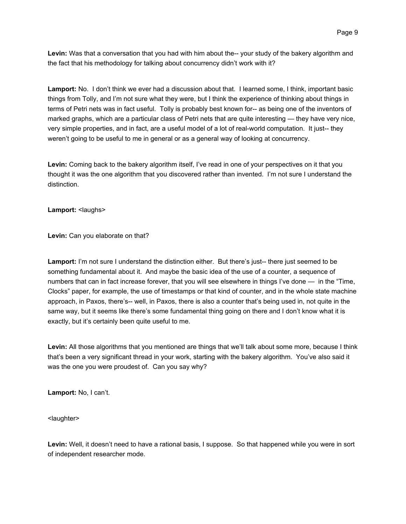**Levin:** Was that a conversation that you had with him about the-- your study of the bakery algorithm and the fact that his methodology for talking about concurrency didn't work with it?

**Lamport:** No. I don't think we ever had a discussion about that. I learned some, I think, important basic things from Tolly, and I'm not sure what they were, but I think the experience of thinking about things in terms of Petri nets was in fact useful. Tolly is probably best known for-- as being one of the inventors of marked graphs, which are a particular class of Petri nets that are quite interesting — they have very nice, very simple properties, and in fact, are a useful model of a lot of real-world computation. It just-- they weren't going to be useful to me in general or as a general way of looking at concurrency.

Levin: Coming back to the bakery algorithm itself, I've read in one of your perspectives on it that you thought it was the one algorithm that you discovered rather than invented. I'm not sure I understand the distinction.

**Lamport:** <laughs>

**Levin:** Can you elaborate on that?

**Lamport:** I'm not sure I understand the distinction either. But there's just-- there just seemed to be something fundamental about it. And maybe the basic idea of the use of a counter, a sequence of numbers that can in fact increase forever, that you will see elsewhere in things I've done — in the "Time, Clocks" paper, for example, the use of timestamps or that kind of counter, and in the whole state machine approach, in Paxos, there's-- well, in Paxos, there is also a counter that's being used in, not quite in the same way, but it seems like there's some fundamental thing going on there and I don't know what it is exactly, but it's certainly been quite useful to me.

**Levin:** All those algorithms that you mentioned are things that we'll talk about some more, because I think that's been a very significant thread in your work, starting with the bakery algorithm. You've also said it was the one you were proudest of. Can you say why?

**Lamport:** No, I can't.

<laughter>

**Levin:** Well, it doesn't need to have a rational basis, I suppose. So that happened while you were in sort of independent researcher mode.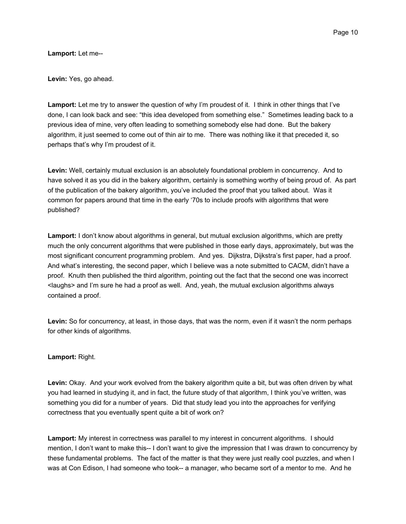**Lamport:** Let me--

**Levin:** Yes, go ahead.

**Lamport:** Let me try to answer the question of why I'm proudest of it. I think in other things that I've done, I can look back and see: "this idea developed from something else." Sometimes leading back to a previous idea of mine, very often leading to something somebody else had done. But the bakery algorithm, it just seemed to come out of thin air to me. There was nothing like it that preceded it, so perhaps that's why I'm proudest of it.

**Levin:** Well, certainly mutual exclusion is an absolutely foundational problem in concurrency. And to have solved it as you did in the bakery algorithm, certainly is something worthy of being proud of. As part of the publication of the bakery algorithm, you've included the proof that you talked about. Was it common for papers around that time in the early '70s to include proofs with algorithms that were published?

**Lamport:** I don't know about algorithms in general, but mutual exclusion algorithms, which are pretty much the only concurrent algorithms that were published in those early days, approximately, but was the most significant concurrent programming problem. And yes. Dijkstra, Dijkstra's first paper, had a proof. And what's interesting, the second paper, which I believe was a note submitted to CACM, didn't have a proof. Knuth then published the third algorithm, pointing out the fact that the second one was incorrect <laughs> and I'm sure he had a proof as well. And, yeah, the mutual exclusion algorithms always contained a proof.

**Levin:** So for concurrency, at least, in those days, that was the norm, even if it wasn't the norm perhaps for other kinds of algorithms.

# **Lamport:** Right.

**Levin:** Okay. And your work evolved from the bakery algorithm quite a bit, but was often driven by what you had learned in studying it, and in fact, the future study of that algorithm, I think you've written, was something you did for a number of years. Did that study lead you into the approaches for verifying correctness that you eventually spent quite a bit of work on?

**Lamport:** My interest in correctness was parallel to my interest in concurrent algorithms. I should mention, I don't want to make this-- I don't want to give the impression that I was drawn to concurrency by these fundamental problems. The fact of the matter is that they were just really cool puzzles, and when I was at Con Edison, I had someone who took-- a manager, who became sort of a mentor to me. And he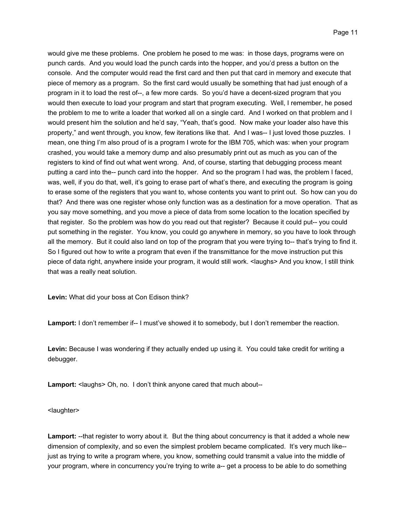would give me these problems. One problem he posed to me was: in those days, programs were on punch cards. And you would load the punch cards into the hopper, and you'd press a button on the console. And the computer would read the first card and then put that card in memory and execute that piece of memory as a program. So the first card would usually be something that had just enough of a program in it to load the rest of--, a few more cards. So you'd have a decent-sized program that you would then execute to load your program and start that program executing. Well, I remember, he posed the problem to me to write a loader that worked all on a single card. And I worked on that problem and I would present him the solution and he'd say, "Yeah, that's good. Now make your loader also have this property," and went through, you know, few iterations like that. And I was-- I just loved those puzzles. I mean, one thing I'm also proud of is a program I wrote for the IBM 705, which was: when your program crashed, you would take a memory dump and also presumably print out as much as you can of the registers to kind of find out what went wrong. And, of course, starting that debugging process meant putting a card into the-- punch card into the hopper. And so the program I had was, the problem I faced, was, well, if you do that, well, it's going to erase part of what's there, and executing the program is going to erase some of the registers that you want to, whose contents you want to print out. So how can you do that? And there was one register whose only function was as a destination for a move operation. That as you say move something, and you move a piece of data from some location to the location specified by that register. So the problem was how do you read out that register? Because it could put-- you could put something in the register. You know, you could go anywhere in memory, so you have to look through all the memory. But it could also land on top of the program that you were trying to-- that's trying to find it. So I figured out how to write a program that even if the transmittance for the move instruction put this piece of data right, anywhere inside your program, it would still work. <laughs> And you know, I still think that was a really neat solution.

**Levin:** What did your boss at Con Edison think?

**Lamport:** I don't remember if-- I must've showed it to somebody, but I don't remember the reaction.

**Levin:** Because I was wondering if they actually ended up using it. You could take credit for writing a debugger.

Lamport: <laughs> Oh, no. I don't think anyone cared that much about--

<laughter>

**Lamport:** --that register to worry about it. But the thing about concurrency is that it added a whole new dimension of complexity, and so even the simplest problem became complicated. It's very much like- just as trying to write a program where, you know, something could transmit a value into the middle of your program, where in concurrency you're trying to write a-- get a process to be able to do something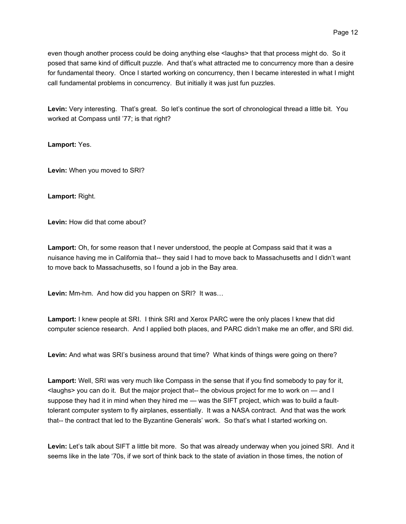even though another process could be doing anything else <laughs> that that process might do. So it posed that same kind of difficult puzzle. And that's what attracted me to concurrency more than a desire for fundamental theory. Once I started working on concurrency, then I became interested in what I might call fundamental problems in concurrency. But initially it was just fun puzzles.

**Levin:** Very interesting. That's great. So let's continue the sort of chronological thread a little bit. You worked at Compass until '77; is that right?

**Lamport:** Yes.

**Levin:** When you moved to SRI?

**Lamport:** Right.

**Levin:** How did that come about?

**Lamport:** Oh, for some reason that I never understood, the people at Compass said that it was a nuisance having me in California that-- they said I had to move back to Massachusetts and I didn't want to move back to Massachusetts, so I found a job in the Bay area.

**Levin:** Mm-hm. And how did you happen on SRI? It was…

**Lamport:** I knew people at SRI. I think SRI and Xerox PARC were the only places I knew that did computer science research. And I applied both places, and PARC didn't make me an offer, and SRI did.

**Levin:** And what was SRI's business around that time? What kinds of things were going on there?

**Lamport:** Well, SRI was very much like Compass in the sense that if you find somebody to pay for it, <laughs> you can do it. But the major project that-- the obvious project for me to work on — and I suppose they had it in mind when they hired me — was the SIFT project, which was to build a faulttolerant computer system to fly airplanes, essentially. It was a NASA contract. And that was the work that-- the contract that led to the Byzantine Generals' work. So that's what I started working on.

**Levin:** Let's talk about SIFT a little bit more. So that was already underway when you joined SRI. And it seems like in the late '70s, if we sort of think back to the state of aviation in those times, the notion of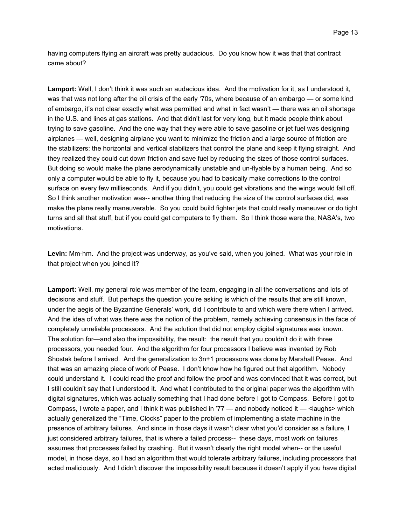having computers flying an aircraft was pretty audacious. Do you know how it was that that contract came about?

**Lamport:** Well, I don't think it was such an audacious idea. And the motivation for it, as I understood it, was that was not long after the oil crisis of the early '70s, where because of an embargo — or some kind of embargo, it's not clear exactly what was permitted and what in fact wasn't — there was an oil shortage in the U.S. and lines at gas stations. And that didn't last for very long, but it made people think about trying to save gasoline. And the one way that they were able to save gasoline or jet fuel was designing airplanes — well, designing airplane you want to minimize the friction and a large source of friction are the stabilizers: the horizontal and vertical stabilizers that control the plane and keep it flying straight. And they realized they could cut down friction and save fuel by reducing the sizes of those control surfaces. But doing so would make the plane aerodynamically unstable and un-flyable by a human being. And so only a computer would be able to fly it, because you had to basically make corrections to the control surface on every few milliseconds. And if you didn't, you could get vibrations and the wings would fall off. So I think another motivation was-- another thing that reducing the size of the control surfaces did, was make the plane really maneuverable. So you could build fighter jets that could really maneuver or do tight turns and all that stuff, but if you could get computers to fly them. So I think those were the, NASA's, two motivations.

**Levin:** Mm-hm. And the project was underway, as you've said, when you joined. What was your role in that project when you joined it?

**Lamport:** Well, my general role was member of the team, engaging in all the conversations and lots of decisions and stuff. But perhaps the question you're asking is which of the results that are still known, under the aegis of the Byzantine Generals' work, did I contribute to and which were there when I arrived. And the idea of what was there was the notion of the problem, namely achieving consensus in the face of completely unreliable processors. And the solution that did not employ digital signatures was known. The solution for—and also the impossibility, the result: the result that you couldn't do it with three processors, you needed four. And the algorithm for four processors I believe was invented by Rob Shostak before I arrived. And the generalization to 3n+1 processors was done by Marshall Pease. And that was an amazing piece of work of Pease. I don't know how he figured out that algorithm. Nobody could understand it. I could read the proof and follow the proof and was convinced that it was correct, but I still couldn't say that I understood it. And what I contributed to the original paper was the algorithm with digital signatures, which was actually something that I had done before I got to Compass. Before I got to Compass, I wrote a paper, and I think it was published in '77 — and nobody noticed it — <laughs> which actually generalized the "Time, Clocks" paper to the problem of implementing a state machine in the presence of arbitrary failures. And since in those days it wasn't clear what you'd consider as a failure, I just considered arbitrary failures, that is where a failed process-- these days, most work on failures assumes that processes failed by crashing. But it wasn't clearly the right model when-- or the useful model, in those days, so I had an algorithm that would tolerate arbitrary failures, including processors that acted maliciously. And I didn't discover the impossibility result because it doesn't apply if you have digital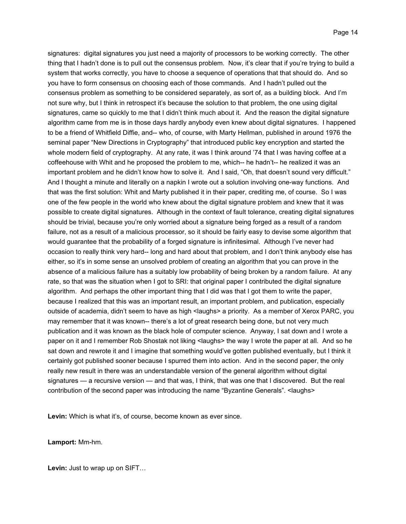signatures: digital signatures you just need a majority of processors to be working correctly. The other thing that I hadn't done is to pull out the consensus problem. Now, it's clear that if you're trying to build a system that works correctly, you have to choose a sequence of operations that that should do. And so you have to form consensus on choosing each of those commands. And I hadn't pulled out the consensus problem as something to be considered separately, as sort of, as a building block. And I'm not sure why, but I think in retrospect it's because the solution to that problem, the one using digital signatures, came so quickly to me that I didn't think much about it. And the reason the digital signature algorithm came from me is in those days hardly anybody even knew about digital signatures. I happened to be a friend of Whitfield Diffie, and-- who, of course, with Marty Hellman, published in around 1976 the seminal paper "New Directions in Cryptography" that introduced public key encryption and started the whole modern field of cryptography. At any rate, it was I think around '74 that I was having coffee at a coffeehouse with Whit and he proposed the problem to me, which-- he hadn't-- he realized it was an important problem and he didn't know how to solve it. And I said, "Oh, that doesn't sound very difficult." And I thought a minute and literally on a napkin I wrote out a solution involving one-way functions. And that was the first solution: Whit and Marty published it in their paper, crediting me, of course. So I was one of the few people in the world who knew about the digital signature problem and knew that it was possible to create digital signatures. Although in the context of fault tolerance, creating digital signatures should be trivial, because you're only worried about a signature being forged as a result of a random failure, not as a result of a malicious processor, so it should be fairly easy to devise some algorithm that would guarantee that the probability of a forged signature is infinitesimal. Although I've never had occasion to really think very hard-- long and hard about that problem, and I don't think anybody else has either, so it's in some sense an unsolved problem of creating an algorithm that you can prove in the absence of a malicious failure has a suitably low probability of being broken by a random failure. At any rate, so that was the situation when I got to SRI: that original paper I contributed the digital signature algorithm. And perhaps the other important thing that I did was that I got them to write the paper, because I realized that this was an important result, an important problem, and publication, especially outside of academia, didn't seem to have as high <laughs> a priority. As a member of Xerox PARC, you may remember that it was known-- there's a lot of great research being done, but not very much publication and it was known as the black hole of computer science. Anyway, I sat down and I wrote a paper on it and I remember Rob Shostak not liking <laughs> the way I wrote the paper at all. And so he sat down and rewrote it and I imagine that something would've gotten published eventually, but I think it certainly got published sooner because I spurred them into action. And in the second paper, the only really new result in there was an understandable version of the general algorithm without digital signatures — a recursive version — and that was, I think, that was one that I discovered. But the real contribution of the second paper was introducing the name "Byzantine Generals". <laughs>

Levin: Which is what it's, of course, become known as ever since.

## **Lamport:** Mm-hm.

**Levin:** Just to wrap up on SIFT…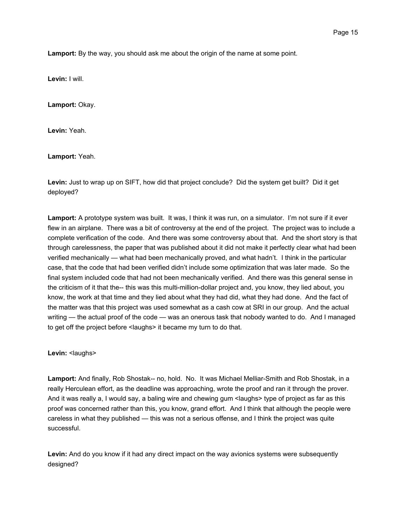**Lamport:** By the way, you should ask me about the origin of the name at some point.

**Levin:** I will.

**Lamport:** Okay.

**Levin:** Yeah.

**Lamport:** Yeah.

**Levin:** Just to wrap up on SIFT, how did that project conclude? Did the system get built? Did it get deployed?

**Lamport:** A prototype system was built. It was, I think it was run, on a simulator. I'm not sure if it ever flew in an airplane. There was a bit of controversy at the end of the project. The project was to include a complete verification of the code. And there was some controversy about that. And the short story is that through carelessness, the paper that was published about it did not make it perfectly clear what had been verified mechanically — what had been mechanically proved, and what hadn't. I think in the particular case, that the code that had been verified didn't include some optimization that was later made. So the final system included code that had not been mechanically verified. And there was this general sense in the criticism of it that the-- this was this multi-million-dollar project and, you know, they lied about, you know, the work at that time and they lied about what they had did, what they had done. And the fact of the matter was that this project was used somewhat as a cash cow at SRI in our group. And the actual writing — the actual proof of the code — was an onerous task that nobody wanted to do. And I managed to get off the project before <laughs> it became my turn to do that.

Levin: <laughs>

**Lamport:** And finally, Rob Shostak-- no, hold. No. It was Michael Melliar-Smith and Rob Shostak, in a really Herculean effort, as the deadline was approaching, wrote the proof and ran it through the prover. And it was really a, I would say, a baling wire and chewing gum <laughs> type of project as far as this proof was concerned rather than this, you know, grand effort. And I think that although the people were careless in what they published — this was not a serious offense, and I think the project was quite successful.

**Levin:** And do you know if it had any direct impact on the way avionics systems were subsequently designed?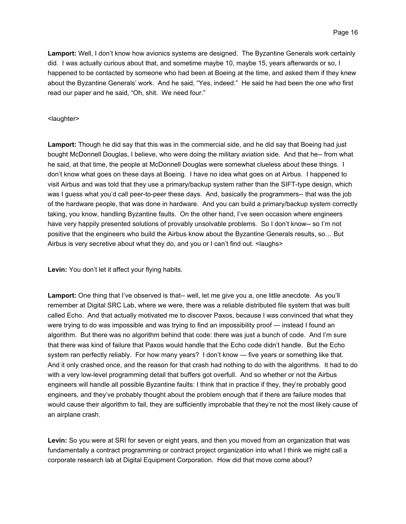**Lamport:** Well, I don't know how avionics systems are designed. The Byzantine Generals work certainly did. I was actually curious about that, and sometime maybe 10, maybe 15, years afterwards or so, I happened to be contacted by someone who had been at Boeing at the time, and asked them if they knew about the Byzantine Generals' work. And he said, "Yes, indeed." He said he had been the one who first read our paper and he said, "Oh, shit. We need four."

## <laughter>

**Lamport:** Though he did say that this was in the commercial side, and he did say that Boeing had just bought McDonnell Douglas, I believe, who were doing the military aviation side. And that he-- from what he said, at that time, the people at McDonnell Douglas were somewhat clueless about these things. I don't know what goes on these days at Boeing. I have no idea what goes on at Airbus. I happened to visit Airbus and was told that they use a primary/backup system rather than the SIFT-type design, which was I guess what you'd call peer-to-peer these days. And, basically the programmers-- that was the job of the hardware people, that was done in hardware. And you can build a primary/backup system correctly taking, you know, handling Byzantine faults. On the other hand, I've seen occasion where engineers have very happily presented solutions of provably unsolvable problems. So I don't know-- so I'm not positive that the engineers who build the Airbus know about the Byzantine Generals results, so… But Airbus is very secretive about what they do, and you or I can't find out. <laughs>

**Levin:** You don't let it affect your flying habits.

Lamport: One thing that I've observed is that-- well, let me give you a, one little anecdote. As you'll remember at Digital SRC Lab, where we were, there was a reliable distributed file system that was built called Echo. And that actually motivated me to discover Paxos, because I was convinced that what they were trying to do was impossible and was trying to find an impossibility proof — instead I found an algorithm. But there was no algorithm behind that code: there was just a bunch of code. And I'm sure that there was kind of failure that Paxos would handle that the Echo code didn't handle. But the Echo system ran perfectly reliably. For how many years? I don't know — five years or something like that. And it only crashed once, and the reason for that crash had nothing to do with the algorithms. It had to do with a very low-level programming detail that buffers got overfull. And so whether or not the Airbus engineers will handle all possible Byzantine faults: I think that in practice if they, they're probably good engineers, and they've probably thought about the problem enough that if there are failure modes that would cause their algorithm to fail, they are sufficiently improbable that they're not the most likely cause of an airplane crash.

**Levin:** So you were at SRI for seven or eight years, and then you moved from an organization that was fundamentally a contract programming or contract project organization into what I think we might call a corporate research lab at Digital Equipment Corporation. How did that move come about?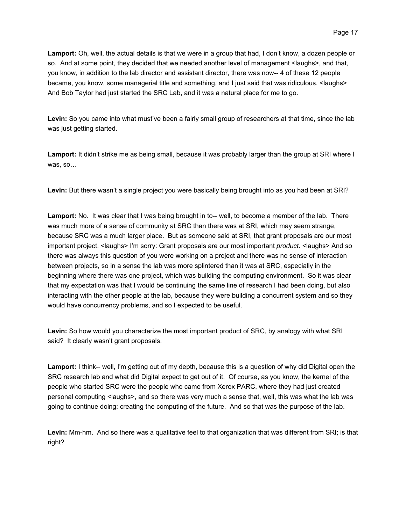Page 17

**Lamport:** Oh, well, the actual details is that we were in a group that had, I don't know, a dozen people or so. And at some point, they decided that we needed another level of management <laughs>, and that, you know, in addition to the lab director and assistant director, there was now-- 4 of these 12 people became, you know, some managerial title and something, and I just said that was ridiculous. <laughs> And Bob Taylor had just started the SRC Lab, and it was a natural place for me to go.

**Levin:** So you came into what must've been a fairly small group of researchers at that time, since the lab was just getting started.

Lamport: It didn't strike me as being small, because it was probably larger than the group at SRI where I was, so…

**Levin:** But there wasn't a single project you were basically being brought into as you had been at SRI?

**Lamport:** No. It was clear that I was being brought in to-- well, to become a member of the lab. There was much more of a sense of community at SRC than there was at SRI, which may seem strange, because SRC was a much larger place. But as someone said at SRI, that grant proposals are our most important project. <laughs> I'm sorry: Grant proposals are our most important *product*. <laughs> And so there was always this question of you were working on a project and there was no sense of interaction between projects, so in a sense the lab was more splintered than it was at SRC, especially in the beginning where there was one project, which was building the computing environment. So it was clear that my expectation was that I would be continuing the same line of research I had been doing, but also interacting with the other people at the lab, because they were building a concurrent system and so they would have concurrency problems, and so I expected to be useful.

**Levin:** So how would you characterize the most important product of SRC, by analogy with what SRI said? It clearly wasn't grant proposals.

**Lamport:** I think-- well, I'm getting out of my depth, because this is a question of why did Digital open the SRC research lab and what did Digital expect to get out of it. Of course, as you know, the kernel of the people who started SRC were the people who came from Xerox PARC, where they had just created personal computing <laughs>, and so there was very much a sense that, well, this was what the lab was going to continue doing: creating the computing of the future. And so that was the purpose of the lab.

**Levin:** Mm-hm. And so there was a qualitative feel to that organization that was different from SRI; is that right?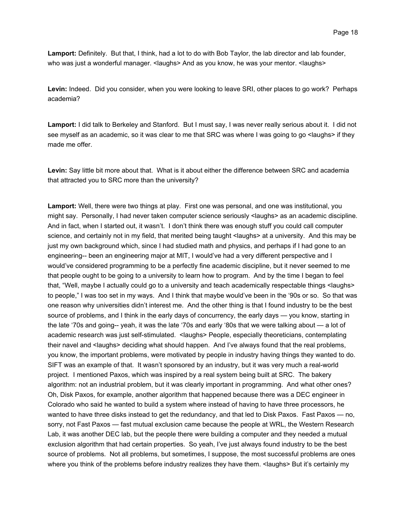**Lamport:** Definitely. But that, I think, had a lot to do with Bob Taylor, the lab director and lab founder, who was just a wonderful manager. < laughs > And as you know, he was your mentor. < laughs >

**Levin:** Indeed. Did you consider, when you were looking to leave SRI, other places to go work? Perhaps academia?

**Lamport:** I did talk to Berkeley and Stanford. But I must say, I was never really serious about it. I did not see myself as an academic, so it was clear to me that SRC was where I was going to go <laughs> if they made me offer.

**Levin:** Say little bit more about that. What is it about either the difference between SRC and academia that attracted you to SRC more than the university?

**Lamport:** Well, there were two things at play. First one was personal, and one was institutional, you might say. Personally, I had never taken computer science seriously <laughs> as an academic discipline. And in fact, when I started out, it wasn't. I don't think there was enough stuff you could call computer science, and certainly not in my field, that merited being taught <laughs> at a university. And this may be just my own background which, since I had studied math and physics, and perhaps if I had gone to an engineering-- been an engineering major at MIT, I would've had a very different perspective and I would've considered programming to be a perfectly fine academic discipline, but it never seemed to me that people ought to be going to a university to learn how to program. And by the time I began to feel that, "Well, maybe I actually could go to a university and teach academically respectable things <laughs> to people," I was too set in my ways. And I think that maybe would've been in the '90s or so. So that was one reason why universities didn't interest me. And the other thing is that I found industry to be the best source of problems, and I think in the early days of concurrency, the early days — you know, starting in the late '70s and going-- yeah, it was the late '70s and early '80s that we were talking about — a lot of academic research was just self-stimulated. <laughs> People, especially theoreticians, contemplating their navel and <laughs> deciding what should happen. And I've always found that the real problems, you know, the important problems, were motivated by people in industry having things they wanted to do. SIFT was an example of that. It wasn't sponsored by an industry, but it was very much a real-world project. I mentioned Paxos, which was inspired by a real system being built at SRC. The bakery algorithm: not an industrial problem, but it was clearly important in programming. And what other ones? Oh, Disk Paxos, for example, another algorithm that happened because there was a DEC engineer in Colorado who said he wanted to build a system where instead of having to have three processors, he wanted to have three disks instead to get the redundancy, and that led to Disk Paxos. Fast Paxos — no, sorry, not Fast Paxos — fast mutual exclusion came because the people at WRL, the Western Research Lab, it was another DEC lab, but the people there were building a computer and they needed a mutual exclusion algorithm that had certain properties. So yeah, I've just always found industry to be the best source of problems. Not all problems, but sometimes, I suppose, the most successful problems are ones where you think of the problems before industry realizes they have them. <laughs> But it's certainly my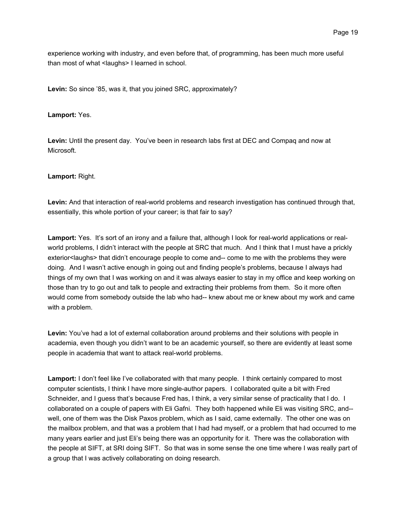experience working with industry, and even before that, of programming, has been much more useful than most of what <laughs> I learned in school.

**Levin:** So since '85, was it, that you joined SRC, approximately?

**Lamport:** Yes.

**Levin:** Until the present day. You've been in research labs first at DEC and Compaq and now at Microsoft.

## **Lamport:** Right.

**Levin:** And that interaction of real-world problems and research investigation has continued through that, essentially, this whole portion of your career; is that fair to say?

**Lamport:** Yes. It's sort of an irony and a failure that, although I look for real-world applications or realworld problems, I didn't interact with the people at SRC that much. And I think that I must have a prickly exterior<laughs> that didn't encourage people to come and-- come to me with the problems they were doing. And I wasn't active enough in going out and finding people's problems, because I always had things of my own that I was working on and it was always easier to stay in my office and keep working on those than try to go out and talk to people and extracting their problems from them. So it more often would come from somebody outside the lab who had-- knew about me or knew about my work and came with a problem.

**Levin:** You've had a lot of external collaboration around problems and their solutions with people in academia, even though you didn't want to be an academic yourself, so there are evidently at least some people in academia that want to attack real-world problems.

Lamport: I don't feel like I've collaborated with that many people. I think certainly compared to most computer scientists, I think I have more single-author papers. I collaborated quite a bit with Fred Schneider, and I guess that's because Fred has, I think, a very similar sense of practicality that I do. I collaborated on a couple of papers with Eli Gafni. They both happened while Eli was visiting SRC, and- well, one of them was the Disk Paxos problem, which as I said, came externally. The other one was on the mailbox problem, and that was a problem that I had had myself, or a problem that had occurred to me many years earlier and just Eli's being there was an opportunity for it. There was the collaboration with the people at SIFT, at SRI doing SIFT. So that was in some sense the one time where I was really part of a group that I was actively collaborating on doing research.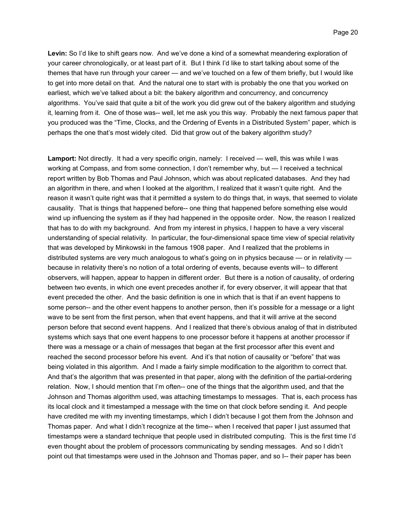**Levin:** So I'd like to shift gears now. And we've done a kind of a somewhat meandering exploration of your career chronologically, or at least part of it. But I think I'd like to start talking about some of the themes that have run through your career — and we've touched on a few of them briefly, but I would like to get into more detail on that. And the natural one to start with is probably the one that you worked on earliest, which we've talked about a bit: the bakery algorithm and concurrency, and concurrency algorithms. You've said that quite a bit of the work you did grew out of the bakery algorithm and studying it, learning from it. One of those was-- well, let me ask you this way. Probably the next famous paper that you produced was the "Time, Clocks, and the Ordering of Events in a Distributed System" paper, which is perhaps the one that's most widely cited. Did that grow out of the bakery algorithm study?

**Lamport:** Not directly. It had a very specific origin, namely: I received — well, this was while I was working at Compass, and from some connection, I don't remember why, but — I received a technical report written by Bob Thomas and Paul Johnson, which was about replicated databases. And they had an algorithm in there, and when I looked at the algorithm, I realized that it wasn't quite right. And the reason it wasn't quite right was that it permitted a system to do things that, in ways, that seemed to violate causality. That is things that happened before-- one thing that happened before something else would wind up influencing the system as if they had happened in the opposite order. Now, the reason I realized that has to do with my background. And from my interest in physics, I happen to have a very visceral understanding of special relativity. In particular, the four-dimensional space time view of special relativity that was developed by Minkowski in the famous 1908 paper. And I realized that the problems in distributed systems are very much analogous to what's going on in physics because — or in relativity because in relativity there's no notion of a total ordering of events, because events will-- to different observers, will happen, appear to happen in different order. But there is a notion of causality, of ordering between two events, in which one event precedes another if, for every observer, it will appear that that event preceded the other. And the basic definition is one in which that is that if an event happens to some person-- and the other event happens to another person, then it's possible for a message or a light wave to be sent from the first person, when that event happens, and that it will arrive at the second person before that second event happens. And I realized that there's obvious analog of that in distributed systems which says that one event happens to one processor before it happens at another processor if there was a message or a chain of messages that began at the first processor after this event and reached the second processor before his event. And it's that notion of causality or "before" that was being violated in this algorithm. And I made a fairly simple modification to the algorithm to correct that. And that's the algorithm that was presented in that paper, along with the definition of the partial-ordering relation. Now, I should mention that I'm often-- one of the things that the algorithm used, and that the Johnson and Thomas algorithm used, was attaching timestamps to messages. That is, each process has its local clock and it timestamped a message with the time on that clock before sending it. And people have credited me with my inventing timestamps, which I didn't because I got them from the Johnson and Thomas paper. And what I didn't recognize at the time-- when I received that paper I just assumed that timestamps were a standard technique that people used in distributed computing. This is the first time I'd even thought about the problem of processors communicating by sending messages. And so I didn't point out that timestamps were used in the Johnson and Thomas paper, and so I-- their paper has been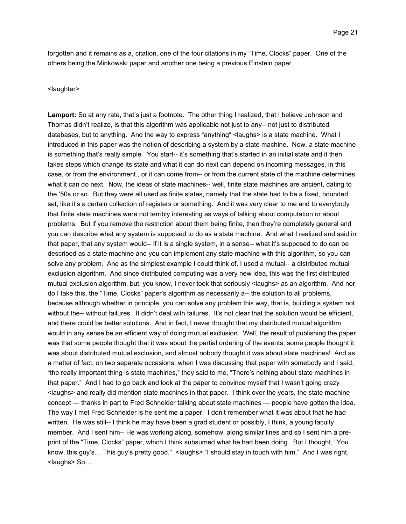forgotten and it remains as a, citation, one of the four citations in my "Time, Clocks" paper. One of the others being the Minkowski paper and another one being a previous Einstein paper.

#### <laughter>

**Lamport:** So at any rate, that's just a footnote. The other thing I realized, that I believe Johnson and Thomas didn't realize, is that this algorithm was applicable not just to any-- not just to distributed databases, but to anything. And the way to express "anything" <laughs> is a state machine. What I introduced in this paper was the notion of describing a system by a state machine. Now, a state machine is something that's really simple. You start-- it's something that's started in an initial state and it then takes steps which change its state and what it can do next can depend on incoming messages, in this case, or from the environment., or it can come from-- or from the current state of the machine determines what it can do next. Now, the ideas of state machines-- well, finite state machines are ancient, dating to the '50s or so. But they were all used as finite states, namely that the state had to be a fixed, bounded set, like it's a certain collection of registers or something. And it was very clear to me and to everybody that finite state machines were not terribly interesting as ways of talking about computation or about problems. But if you remove the restriction about them being finite, then they're completely general and you can describe what any system is supposed to do as a state machine. And what I realized and said in that paper, that any system would-- if it is a single system, in a sense-- what it's supposed to do can be described as a state machine and you can implement any state machine with this algorithm, so you can solve any problem. And as the simplest example I could think of, I used a mutual-- a distributed mutual exclusion algorithm. And since distributed computing was a very new idea, this was the first distributed mutual exclusion algorithm, but, you know, I never took that seriously <laughs> as an algorithm. And nor do I take this, the "Time, Clocks" paper's algorithm as necessarily a-- the solution to all problems, because although whether in principle, you can solve any problem this way, that is, building a system not without the-- without failures. It didn't deal with failures. It's not clear that the solution would be efficient, and there could be better solutions. And in fact, I never thought that my distributed mutual algorithm would in any sense be an efficient way of doing mutual exclusion. Well, the result of publishing the paper was that some people thought that it was about the partial ordering of the events, some people thought it was about distributed mutual exclusion, and almost nobody thought it was about state machines! And as a matter of fact, on two separate occasions, when I was discussing that paper with somebody and I said, "the really important thing is state machines," they said to me, "There's nothing about state machines in that paper." And I had to go back and look at the paper to convince myself that I wasn't going crazy <laughs> and really did mention state machines in that paper. I think over the years, the state machine concept — thanks in part to Fred Schneider talking about state machines — people have gotten the idea. The way I met Fred Schneider is he sent me a paper. I don't remember what it was about that he had written. He was still-- I think he may have been a grad student or possibly, I think, a young faculty member. And I sent him-- He was working along, somehow, along similar lines and so I sent him a preprint of the "Time, Clocks" paper, which I think subsumed what he had been doing. But I thought, "You know, this guy's… This guy's pretty good." <laughs> "I should stay in touch with him." And I was right. <laughs> So…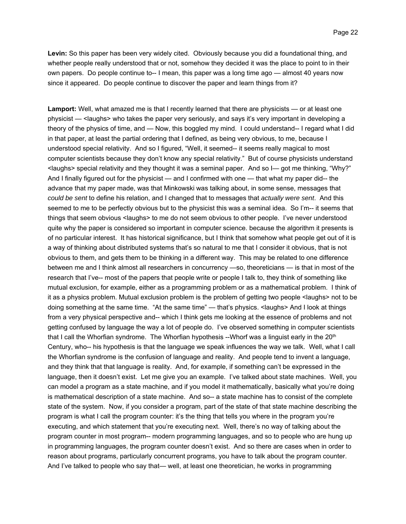**Levin:** So this paper has been very widely cited. Obviously because you did a foundational thing, and whether people really understood that or not, somehow they decided it was the place to point to in their own papers. Do people continue to-- I mean, this paper was a long time ago — almost 40 years now since it appeared. Do people continue to discover the paper and learn things from it?

**Lamport:** Well, what amazed me is that I recently learned that there are physicists — or at least one physicist — <laughs> who takes the paper very seriously, and says it's very important in developing a theory of the physics of time, and — Now, this boggled my mind. I could understand-- I regard what I did in that paper, at least the partial ordering that I defined, as being very obvious, to me, because I understood special relativity. And so I figured, "Well, it seemed-- it seems really magical to most computer scientists because they don't know any special relativity." But of course physicists understand <laughs> special relativity and they thought it was a seminal paper. And so I— got me thinking, "Why?" And I finally figured out for the physicist — and I confirmed with one — that what my paper did-- the advance that my paper made, was that Minkowski was talking about, in some sense, messages that *could be sent* to define his relation, and I changed that to messages that *actually were sent*. And this seemed to me to be perfectly obvious but to the physicist this was a seminal idea. So I'm-- it seems that things that seem obvious <laughs> to me do not seem obvious to other people. I've never understood quite why the paper is considered so important in computer science. because the algorithm it presents is of no particular interest. It has historical significance, but I think that somehow what people get out of it is a way of thinking about distributed systems that's so natural to me that I consider it obvious, that is not obvious to them, and gets them to be thinking in a different way. This may be related to one difference between me and I think almost all researchers in concurrency —so, theoreticians — is that in most of the research that I've-- most of the papers that people write or people I talk to, they think of something like mutual exclusion, for example, either as a programming problem or as a mathematical problem. I think of it as a physics problem. Mutual exclusion problem is the problem of getting two people <laughs> not to be doing something at the same time. "At the same time" — that's physics. <laughs> And I look at things from a very physical perspective and-- which I think gets me looking at the essence of problems and not getting confused by language the way a lot of people do. I've observed something in computer scientists that I call the Whorfian syndrome. The Whorfian hypothesis --Whorf was a linguist early in the 20<sup>th</sup> Century, who-- his hypothesis is that the language we speak influences the way we talk. Well, what I call the Whorfian syndrome is the confusion of language and reality. And people tend to invent a language, and they think that that language is reality. And, for example, if something can't be expressed in the language, then it doesn't exist. Let me give you an example. I've talked about state machines. Well, you can model a program as a state machine, and if you model it mathematically, basically what you're doing is mathematical description of a state machine. And so-- a state machine has to consist of the complete state of the system. Now, if you consider a program, part of the state of that state machine describing the program is what I call the program counter: it's the thing that tells you where in the program you're executing, and which statement that you're executing next. Well, there's no way of talking about the program counter in most program-- modern programming languages, and so to people who are hung up in programming languages, the program counter doesn't exist. And so there are cases when in order to reason about programs, particularly concurrent programs, you have to talk about the program counter. And I've talked to people who say that— well, at least one theoretician, he works in programming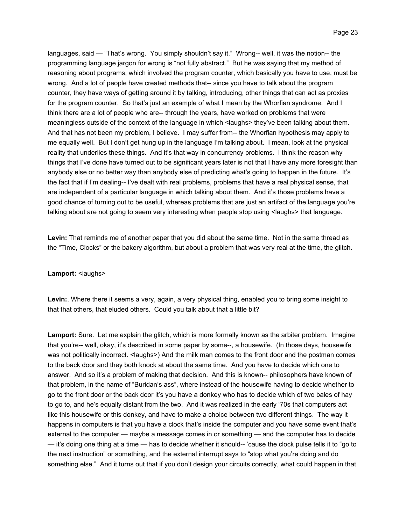languages, said — "That's wrong. You simply shouldn't say it." Wrong-- well, it was the notion-- the programming language jargon for wrong is "not fully abstract." But he was saying that my method of reasoning about programs, which involved the program counter, which basically you have to use, must be wrong. And a lot of people have created methods that-- since you have to talk about the program counter, they have ways of getting around it by talking, introducing, other things that can act as proxies for the program counter. So that's just an example of what I mean by the Whorfian syndrome. And I think there are a lot of people who are-- through the years, have worked on problems that were meaningless outside of the context of the language in which <laughs> they've been talking about them. And that has not been my problem, I believe. I may suffer from-- the Whorfian hypothesis may apply to me equally well. But I don't get hung up in the language I'm talking about. I mean, look at the physical reality that underlies these things. And it's that way in concurrency problems. I think the reason why things that I've done have turned out to be significant years later is not that I have any more foresight than anybody else or no better way than anybody else of predicting what's going to happen in the future. It's the fact that if I'm dealing-- I've dealt with real problems, problems that have a real physical sense, that are independent of a particular language in which talking about them. And it's those problems have a good chance of turning out to be useful, whereas problems that are just an artifact of the language you're talking about are not going to seem very interesting when people stop using < laughs> that language.

**Levin:** That reminds me of another paper that you did about the same time. Not in the same thread as the "Time, Clocks" or the bakery algorithm, but about a problem that was very real at the time, the glitch.

# Lamport: <laughs>

**Levin:**. Where there it seems a very, again, a very physical thing, enabled you to bring some insight to that that others, that eluded others. Could you talk about that a little bit?

**Lamport:** Sure. Let me explain the glitch, which is more formally known as the arbiter problem. Imagine that you're-- well, okay, it's described in some paper by some--, a housewife. (In those days, housewife was not politically incorrect. <laughs>) And the milk man comes to the front door and the postman comes to the back door and they both knock at about the same time. And you have to decide which one to answer. And so it's a problem of making that decision. And this is known-- philosophers have known of that problem, in the name of "Buridan's ass", where instead of the housewife having to decide whether to go to the front door or the back door it's you have a donkey who has to decide which of two bales of hay to go to, and he's equally distant from the two. And it was realized in the early '70s that computers act like this housewife or this donkey, and have to make a choice between two different things. The way it happens in computers is that you have a clock that's inside the computer and you have some event that's external to the computer — maybe a message comes in or something — and the computer has to decide — it's doing one thing at a time — has to decide whether it should-- 'cause the clock pulse tells it to "go to the next instruction" or something, and the external interrupt says to "stop what you're doing and do something else." And it turns out that if you don't design your circuits correctly, what could happen in that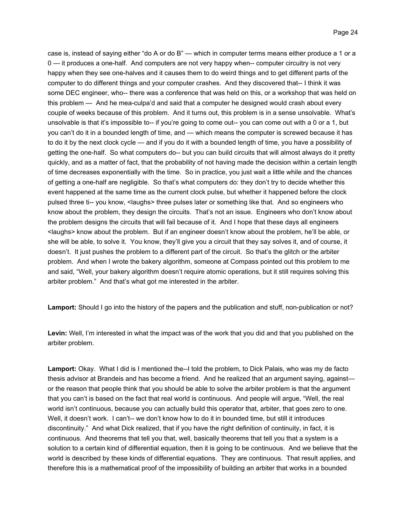case is, instead of saying either "do A or do B" — which in computer terms means either produce a 1 or a 0 — it produces a one-half. And computers are not very happy when-- computer circuitry is not very happy when they see one-halves and it causes them to do weird things and to get different parts of the computer to do different things and your computer crashes. And they discovered that-- I think it was some DEC engineer, who-- there was a conference that was held on this, or a workshop that was held on this problem — And he mea-culpa'd and said that a computer he designed would crash about every couple of weeks because of this problem. And it turns out, this problem is in a sense unsolvable. What's unsolvable is that it's impossible to-- if you're going to come out-- you can come out with a 0 or a 1, but you can't do it in a bounded length of time, and — which means the computer is screwed because it has to do it by the next clock cycle — and if you do it with a bounded length of time, you have a possibility of getting the one-half. So what computers do-- but you can build circuits that will almost always do it pretty quickly, and as a matter of fact, that the probability of not having made the decision within a certain length of time decreases exponentially with the time. So in practice, you just wait a little while and the chances of getting a one-half are negligible. So that's what computers do: they don't try to decide whether this event happened at the same time as the current clock pulse, but whether it happened before the clock pulsed three ti-- you know, <laughs> three pulses later or something like that. And so engineers who know about the problem, they design the circuits. That's not an issue. Engineers who don't know about the problem designs the circuits that will fail because of it. And I hope that these days all engineers <laughs> know about the problem. But if an engineer doesn't know about the problem, he'll be able, or she will be able, to solve it. You know, they'll give you a circuit that they say solves it, and of course, it doesn't. It just pushes the problem to a different part of the circuit. So that's the glitch or the arbiter problem. And when I wrote the bakery algorithm, someone at Compass pointed out this problem to me and said, "Well, your bakery algorithm doesn't require atomic operations, but it still requires solving this arbiter problem." And that's what got me interested in the arbiter.

**Lamport:** Should I go into the history of the papers and the publication and stuff, non-publication or not?

**Levin:** Well, I'm interested in what the impact was of the work that you did and that you published on the arbiter problem.

**Lamport:** Okay. What I did is I mentioned the--I told the problem, to Dick Palais, who was my de facto thesis advisor at Brandeis and has become a friend. And he realized that an argument saying, against or the reason that people think that you should be able to solve the arbiter problem is that the argument that you can't is based on the fact that real world is continuous. And people will argue, "Well, the real world isn't continuous, because you can actually build this operator that, arbiter, that goes zero to one. Well, it doesn't work. I can't-- we don't know how to do it in bounded time, but still it introduces discontinuity." And what Dick realized, that if you have the right definition of continuity, in fact, it is continuous. And theorems that tell you that, well, basically theorems that tell you that a system is a solution to a certain kind of differential equation, then it is going to be continuous. And we believe that the world is described by these kinds of differential equations. They are continuous. That result applies, and therefore this is a mathematical proof of the impossibility of building an arbiter that works in a bounded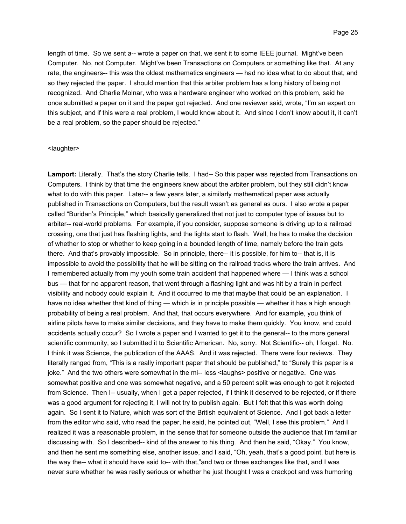length of time. So we sent a-- wrote a paper on that, we sent it to some IEEE journal. Might've been Computer. No, not Computer. Might've been Transactions on Computers or something like that. At any rate, the engineers-- this was the oldest mathematics engineers — had no idea what to do about that, and so they rejected the paper. I should mention that this arbiter problem has a long history of being not recognized. And Charlie Molnar, who was a hardware engineer who worked on this problem, said he once submitted a paper on it and the paper got rejected. And one reviewer said, wrote, "I'm an expert on this subject, and if this were a real problem, I would know about it. And since I don't know about it, it can't be a real problem, so the paper should be rejected."

### <laughter>

Lamport: Literally. That's the story Charlie tells. I had-- So this paper was rejected from Transactions on Computers. I think by that time the engineers knew about the arbiter problem, but they still didn't know what to do with this paper. Later-- a few years later, a similarly mathematical paper was actually published in Transactions on Computers, but the result wasn't as general as ours. I also wrote a paper called "Buridan's Principle," which basically generalized that not just to computer type of issues but to arbiter-- real-world problems. For example, if you consider, suppose someone is driving up to a railroad crossing, one that just has flashing lights, and the lights start to flash. Well, he has to make the decision of whether to stop or whether to keep going in a bounded length of time, namely before the train gets there. And that's provably impossible. So in principle, there-- it is possible, for him to-- that is, it is impossible to avoid the possibility that he will be sitting on the railroad tracks where the train arrives. And I remembered actually from my youth some train accident that happened where — I think was a school bus — that for no apparent reason, that went through a flashing light and was hit by a train in perfect visibility and nobody could explain it. And it occurred to me that maybe that could be an explanation. I have no idea whether that kind of thing — which is in principle possible — whether it has a high enough probability of being a real problem. And that, that occurs everywhere. And for example, you think of airline pilots have to make similar decisions, and they have to make them quickly. You know, and could accidents actually occur? So I wrote a paper and I wanted to get it to the general-- to the more general scientific community, so I submitted it to Scientific American. No, sorry. Not Scientific-- oh, I forget. No. I think it was Science, the publication of the AAAS. And it was rejected. There were four reviews. They literally ranged from, "This is a really important paper that should be published," to "Surely this paper is a joke." And the two others were somewhat in the mi-- less <laughs> positive or negative. One was somewhat positive and one was somewhat negative, and a 50 percent split was enough to get it rejected from Science. Then I-- usually, when I get a paper rejected, if I think it deserved to be rejected, or if there was a good argument for rejecting it, I will not try to publish again. But I felt that this was worth doing again. So I sent it to Nature, which was sort of the British equivalent of Science. And I got back a letter from the editor who said, who read the paper, he said, he pointed out, "Well, I see this problem." And I realized it was a reasonable problem, in the sense that for someone outside the audience that I'm familiar discussing with. So I described-- kind of the answer to his thing. And then he said, "Okay." You know, and then he sent me something else, another issue, and I said, "Oh, yeah, that's a good point, but here is the way the-- what it should have said to-- with that,"and two or three exchanges like that, and I was never sure whether he was really serious or whether he just thought I was a crackpot and was humoring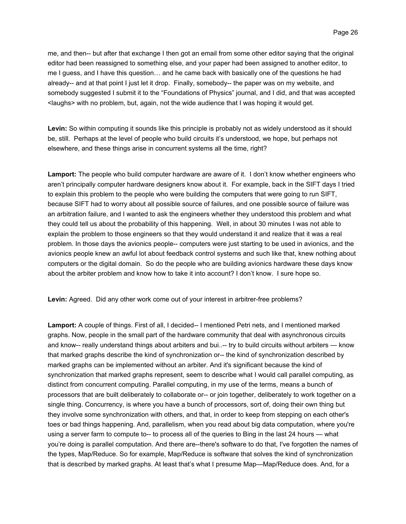me, and then-- but after that exchange I then got an email from some other editor saying that the original editor had been reassigned to something else, and your paper had been assigned to another editor, to me I guess, and I have this question… and he came back with basically one of the questions he had already-- and at that point I just let it drop. Finally, somebody-- the paper was on my website, and somebody suggested I submit it to the "Foundations of Physics" journal, and I did, and that was accepted <laughs> with no problem, but, again, not the wide audience that I was hoping it would get.

**Levin:** So within computing it sounds like this principle is probably not as widely understood as it should be, still. Perhaps at the level of people who build circuits it's understood, we hope, but perhaps not elsewhere, and these things arise in concurrent systems all the time, right?

**Lamport:** The people who build computer hardware are aware of it. I don't know whether engineers who aren't principally computer hardware designers know about it. For example, back in the SIFT days I tried to explain this problem to the people who were building the computers that were going to run SIFT, because SIFT had to worry about all possible source of failures, and one possible source of failure was an arbitration failure, and I wanted to ask the engineers whether they understood this problem and what they could tell us about the probability of this happening. Well, in about 30 minutes I was not able to explain the problem to those engineers so that they would understand it and realize that it was a real problem. In those days the avionics people-- computers were just starting to be used in avionics, and the avionics people knew an awful lot about feedback control systems and such like that, knew nothing about computers or the digital domain. So do the people who are building avionics hardware these days know about the arbiter problem and know how to take it into account? I don't know. I sure hope so.

**Levin:** Agreed. Did any other work come out of your interest in arbitrer-free problems?

**Lamport:** A couple of things. First of all, I decided-- I mentioned Petri nets, and I mentioned marked graphs. Now, people in the small part of the hardware community that deal with asynchronous circuits and know-- really understand things about arbiters and bui..-- try to build circuits without arbiters — know that marked graphs describe the kind of synchronization or-- the kind of synchronization described by marked graphs can be implemented without an arbiter. And it's significant because the kind of synchronization that marked graphs represent, seem to describe what I would call parallel computing, as distinct from concurrent computing. Parallel computing, in my use of the terms, means a bunch of processors that are built deliberately to collaborate or-- or join together, deliberately to work together on a single thing. Concurrency, is where you have a bunch of processors, sort of, doing their own thing but they involve some synchronization with others, and that, in order to keep from stepping on each other's toes or bad things happening. And, parallelism, when you read about big data computation, where you're using a server farm to compute to-- to process all of the queries to Bing in the last 24 hours — what you're doing is parallel computation. And there are--there's software to do that, I've forgotten the names of the types, Map/Reduce. So for example, Map/Reduce is software that solves the kind of synchronization that is described by marked graphs. At least that's what I presume Map—Map/Reduce does. And, for a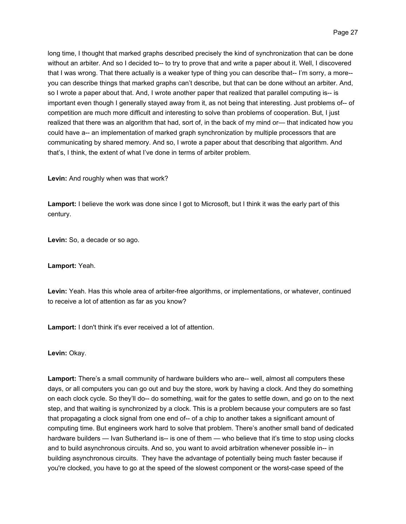long time, I thought that marked graphs described precisely the kind of synchronization that can be done without an arbiter. And so I decided to-- to try to prove that and write a paper about it. Well, I discovered that I was wrong. That there actually is a weaker type of thing you can describe that-- I'm sorry, a more- you can describe things that marked graphs can't describe, but that can be done without an arbiter. And, so I wrote a paper about that. And, I wrote another paper that realized that parallel computing is-- is important even though I generally stayed away from it, as not being that interesting. Just problems of-- of competition are much more difficult and interesting to solve than problems of cooperation. But, I just realized that there was an algorithm that had, sort of, in the back of my mind or— that indicated how you could have a-- an implementation of marked graph synchronization by multiple processors that are communicating by shared memory. And so, I wrote a paper about that describing that algorithm. And that's, I think, the extent of what I've done in terms of arbiter problem.

**Levin:** And roughly when was that work?

**Lamport:** I believe the work was done since I got to Microsoft, but I think it was the early part of this century.

**Levin:** So, a decade or so ago.

**Lamport:** Yeah.

**Levin:** Yeah. Has this whole area of arbiter-free algorithms, or implementations, or whatever, continued to receive a lot of attention as far as you know?

**Lamport:** I don't think it's ever received a lot of attention.

**Levin:** Okay.

**Lamport:** There's a small community of hardware builders who are-- well, almost all computers these days, or all computers you can go out and buy the store, work by having a clock. And they do something on each clock cycle. So they'll do-- do something, wait for the gates to settle down, and go on to the next step, and that waiting is synchronized by a clock. This is a problem because your computers are so fast that propagating a clock signal from one end of-- of a chip to another takes a significant amount of computing time. But engineers work hard to solve that problem. There's another small band of dedicated hardware builders — Ivan Sutherland is-- is one of them — who believe that it's time to stop using clocks and to build asynchronous circuits. And so, you want to avoid arbitration whenever possible in-- in building asynchronous circuits. They have the advantage of potentially being much faster because if you're clocked, you have to go at the speed of the slowest component or the worst-case speed of the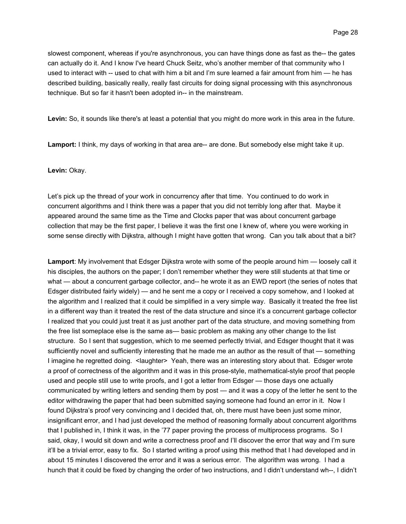slowest component, whereas if you're asynchronous, you can have things done as fast as the-- the gates can actually do it. And I know I've heard Chuck Seitz, who's another member of that community who I used to interact with -- used to chat with him a bit and I'm sure learned a fair amount from him — he has described building, basically really, really fast circuits for doing signal processing with this asynchronous technique. But so far it hasn't been adopted in-- in the mainstream.

**Levin:** So, it sounds like there's at least a potential that you might do more work in this area in the future.

**Lamport:** I think, my days of working in that area are-- are done. But somebody else might take it up.

# **Levin:** Okay.

Let's pick up the thread of your work in concurrency after that time. You continued to do work in concurrent algorithms and I think there was a paper that you did not terribly long after that. Maybe it appeared around the same time as the Time and Clocks paper that was about concurrent garbage collection that may be the first paper, I believe it was the first one I knew of, where you were working in some sense directly with Dijkstra, although I might have gotten that wrong. Can you talk about that a bit?

**Lamport**: My involvement that Edsger Dijkstra wrote with some of the people around him — loosely call it his disciples, the authors on the paper; I don't remember whether they were still students at that time or what — about a concurrent garbage collector, and-- he wrote it as an EWD report (the series of notes that Edsger distributed fairly widely) — and he sent me a copy or I received a copy somehow, and I looked at the algorithm and I realized that it could be simplified in a very simple way. Basically it treated the free list in a different way than it treated the rest of the data structure and since it's a concurrent garbage collector I realized that you could just treat it as just another part of the data structure, and moving something from the free list someplace else is the same as— basic problem as making any other change to the list structure. So I sent that suggestion, which to me seemed perfectly trivial, and Edsger thought that it was sufficiently novel and sufficiently interesting that he made me an author as the result of that — something I imagine he regretted doing. < laughter> Yeah, there was an interesting story about that. Edsger wrote a proof of correctness of the algorithm and it was in this prose-style, mathematical-style proof that people used and people still use to write proofs, and I got a letter from Edsger — those days one actually communicated by writing letters and sending them by post — and it was a copy of the letter he sent to the editor withdrawing the paper that had been submitted saying someone had found an error in it. Now I found Dijkstra's proof very convincing and I decided that, oh, there must have been just some minor, insignificant error, and I had just developed the method of reasoning formally about concurrent algorithms that I published in, I think it was, in the '77 paper proving the process of multiprocess programs. So I said, okay, I would sit down and write a correctness proof and I'll discover the error that way and I'm sure it'll be a trivial error, easy to fix. So I started writing a proof using this method that I had developed and in about 15 minutes I discovered the error and it was a serious error. The algorithm was wrong. I had a hunch that it could be fixed by changing the order of two instructions, and I didn't understand wh--, I didn't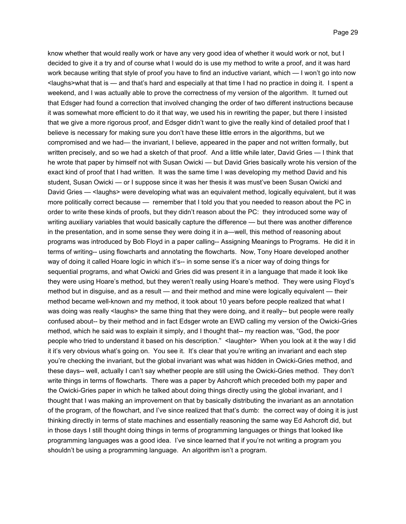know whether that would really work or have any very good idea of whether it would work or not, but I decided to give it a try and of course what I would do is use my method to write a proof, and it was hard work because writing that style of proof you have to find an inductive variant, which — I won't go into now <laughs>what that is — and that's hard and especially at that time I had no practice in doing it. I spent a weekend, and I was actually able to prove the correctness of my version of the algorithm. It turned out that Edsger had found a correction that involved changing the order of two different instructions because it was somewhat more efficient to do it that way, we used his in rewriting the paper, but there I insisted that we give a more rigorous proof, and Edsger didn't want to give the really kind of detailed proof that I believe is necessary for making sure you don't have these little errors in the algorithms, but we compromised and we had— the invariant, I believe, appeared in the paper and not written formally, but written precisely, and so we had a sketch of that proof. And a little while later, David Gries — I think that he wrote that paper by himself not with Susan Owicki — but David Gries basically wrote his version of the exact kind of proof that I had written. It was the same time I was developing my method David and his student, Susan Owicki — or I suppose since it was her thesis it was must've been Susan Owicki and David Gries — <laughs> were developing what was an equivalent method, logically equivalent, but it was more politically correct because — remember that I told you that you needed to reason about the PC in order to write these kinds of proofs, but they didn't reason about the PC: they introduced some way of writing auxiliary variables that would basically capture the difference — but there was another difference in the presentation, and in some sense they were doing it in a—well, this method of reasoning about programs was introduced by Bob Floyd in a paper calling-- Assigning Meanings to Programs. He did it in terms of writing-- using flowcharts and annotating the flowcharts. Now, Tony Hoare developed another way of doing it called Hoare logic in which it's-- in some sense it's a nicer way of doing things for sequential programs, and what Owicki and Gries did was present it in a language that made it look like they were using Hoare's method, but they weren't really using Hoare's method. They were using Floyd's method but in disguise, and as a result — and their method and mine were logically equivalent — their method became well-known and my method, it took about 10 years before people realized that what I was doing was really <laughs> the same thing that they were doing, and it really-- but people were really confused about-- by their method and in fact Edsger wrote an EWD calling my version of the Owicki-Gries method, which he said was to explain it simply, and I thought that-- my reaction was, "God, the poor people who tried to understand it based on his description." <laughter> When you look at it the way I did it it's very obvious what's going on. You see it. It's clear that you're writing an invariant and each step you're checking the invariant, but the global invariant was what was hidden in Owicki-Gries method, and these days-- well, actually I can't say whether people are still using the Owicki-Gries method. They don't write things in terms of flowcharts. There was a paper by Ashcroft which preceded both my paper and the Owicki-Gries paper in which he talked about doing things directly using the global invariant, and I thought that I was making an improvement on that by basically distributing the invariant as an annotation of the program, of the flowchart, and I've since realized that that's dumb: the correct way of doing it is just thinking directly in terms of state machines and essentially reasoning the same way Ed Ashcroft did, but in those days I still thought doing things in terms of programming languages or things that looked like programming languages was a good idea. I've since learned that if you're not writing a program you shouldn't be using a programming language. An algorithm isn't a program.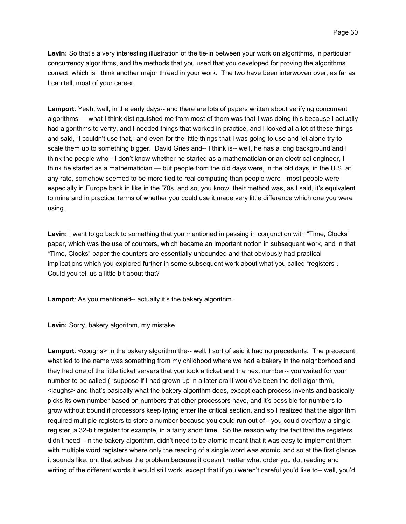**Levin:** So that's a very interesting illustration of the tie-in between your work on algorithms, in particular concurrency algorithms, and the methods that you used that you developed for proving the algorithms correct, which is I think another major thread in your work. The two have been interwoven over, as far as I can tell, most of your career.

**Lamport**: Yeah, well, in the early days-- and there are lots of papers written about verifying concurrent algorithms — what I think distinguished me from most of them was that I was doing this because I actually had algorithms to verify, and I needed things that worked in practice, and I looked at a lot of these things and said, "I couldn't use that," and even for the little things that I was going to use and let alone try to scale them up to something bigger. David Gries and-- I think is-- well, he has a long background and I think the people who-- I don't know whether he started as a mathematician or an electrical engineer, I think he started as a mathematician — but people from the old days were, in the old days, in the U.S. at any rate, somehow seemed to be more tied to real computing than people were-- most people were especially in Europe back in like in the '70s, and so, you know, their method was, as I said, it's equivalent to mine and in practical terms of whether you could use it made very little difference which one you were using.

**Levin:** I want to go back to something that you mentioned in passing in conjunction with "Time, Clocks" paper, which was the use of counters, which became an important notion in subsequent work, and in that "Time, Clocks" paper the counters are essentially unbounded and that obviously had practical implications which you explored further in some subsequent work about what you called "registers". Could you tell us a little bit about that?

**Lamport**: As you mentioned-- actually it's the bakery algorithm.

**Levin:** Sorry, bakery algorithm, my mistake.

**Lamport:** <coughs> In the bakery algorithm the-- well, I sort of said it had no precedents. The precedent, what led to the name was something from my childhood where we had a bakery in the neighborhood and they had one of the little ticket servers that you took a ticket and the next number-- you waited for your number to be called (I suppose if I had grown up in a later era it would've been the deli algorithm), <laughs> and that's basically what the bakery algorithm does, except each process invents and basically picks its own number based on numbers that other processors have, and it's possible for numbers to grow without bound if processors keep trying enter the critical section, and so I realized that the algorithm required multiple registers to store a number because you could run out of-- you could overflow a single register, a 32-bit register for example, in a fairly short time. So the reason why the fact that the registers didn't need-- in the bakery algorithm, didn't need to be atomic meant that it was easy to implement them with multiple word registers where only the reading of a single word was atomic, and so at the first glance it sounds like, oh, that solves the problem because it doesn't matter what order you do, reading and writing of the different words it would still work, except that if you weren't careful you'd like to-- well, you'd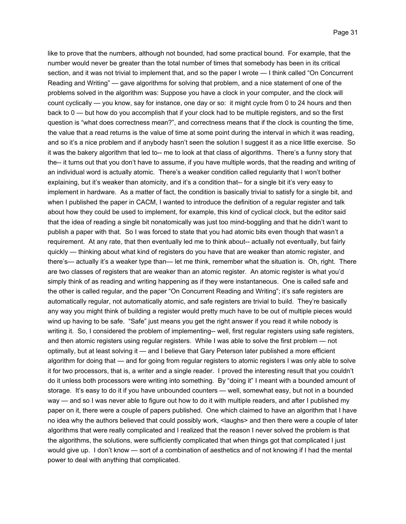like to prove that the numbers, although not bounded, had some practical bound. For example, that the number would never be greater than the total number of times that somebody has been in its critical section, and it was not trivial to implement that, and so the paper I wrote — I think called "On Concurrent Reading and Writing" — gave algorithms for solving that problem, and a nice statement of one of the problems solved in the algorithm was: Suppose you have a clock in your computer, and the clock will count cyclically — you know, say for instance, one day or so: it might cycle from 0 to 24 hours and then back to 0 — but how do you accomplish that if your clock had to be multiple registers, and so the first question is "what does correctness mean?", and correctness means that if the clock is counting the time, the value that a read returns is the value of time at some point during the interval in which it was reading, and so it's a nice problem and if anybody hasn't seen the solution I suggest it as a nice little exercise. So it was the bakery algorithm that led to-- me to look at that class of algorithms. There's a funny story that the-- it turns out that you don't have to assume, if you have multiple words, that the reading and writing of an individual word is actually atomic. There's a weaker condition called regularity that I won't bother explaining, but it's weaker than atomicity, and it's a condition that-- for a single bit it's very easy to implement in hardware. As a matter of fact, the condition is basically trivial to satisfy for a single bit, and when I published the paper in CACM, I wanted to introduce the definition of a regular register and talk about how they could be used to implement, for example, this kind of cyclical clock, but the editor said that the idea of reading a single bit nonatomically was just too mind-boggling and that he didn't want to publish a paper with that. So I was forced to state that you had atomic bits even though that wasn't a requirement. At any rate, that then eventually led me to think about-- actually not eventually, but fairly quickly — thinking about what kind of registers do you have that are weaker than atomic register, and there's— actually it's a weaker type than— let me think, remember what the situation is. Oh, right. There are two classes of registers that are weaker than an atomic register. An atomic register is what you'd simply think of as reading and writing happening as if they were instantaneous. One is called safe and the other is called regular, and the paper "On Concurrent Reading and Writing"; it's safe registers are automatically regular, not automatically atomic, and safe registers are trivial to build. They're basically any way you might think of building a register would pretty much have to be out of multiple pieces would wind up having to be safe. "Safe" just means you get the right answer if you read it while nobody is writing it. So, I considered the problem of implementing-- well, first regular registers using safe registers, and then atomic registers using regular registers. While I was able to solve the first problem — not optimally, but at least solving it — and I believe that Gary Peterson later published a more efficient algorithm for doing that — and for going from regular registers to atomic registers I was only able to solve it for two processors, that is, a writer and a single reader. I proved the interesting result that you couldn't do it unless both processors were writing into something. By "doing it" I meant with a bounded amount of storage. It's easy to do it if you have unbounded counters — well, somewhat easy, but not in a bounded way — and so I was never able to figure out how to do it with multiple readers, and after I published my paper on it, there were a couple of papers published. One which claimed to have an algorithm that I have no idea why the authors believed that could possibly work, <laughs> and then there were a couple of later algorithms that were really complicated and I realized that the reason I never solved the problem is that the algorithms, the solutions, were sufficiently complicated that when things got that complicated I just would give up. I don't know — sort of a combination of aesthetics and of not knowing if I had the mental power to deal with anything that complicated.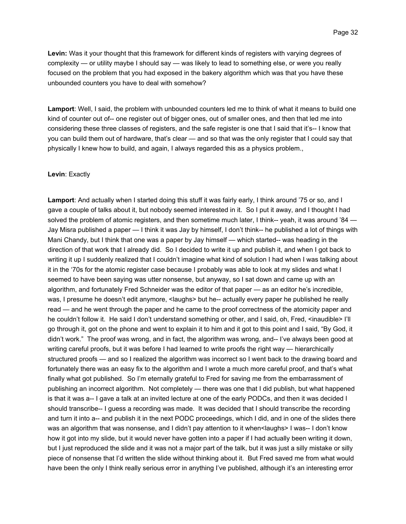**Levin:** Was it your thought that this framework for different kinds of registers with varying degrees of complexity — or utility maybe I should say — was likely to lead to something else, or were you really focused on the problem that you had exposed in the bakery algorithm which was that you have these unbounded counters you have to deal with somehow?

**Lamport**: Well, I said, the problem with unbounded counters led me to think of what it means to build one kind of counter out of-- one register out of bigger ones, out of smaller ones, and then that led me into considering these three classes of registers, and the safe register is one that I said that it's-- I know that you can build them out of hardware, that's clear — and so that was the only register that I could say that physically I knew how to build, and again, I always regarded this as a physics problem.,

#### **Levin**: Exactly

**Lamport**: And actually when I started doing this stuff it was fairly early, I think around '75 or so, and I gave a couple of talks about it, but nobody seemed interested in it. So I put it away, and I thought I had solved the problem of atomic registers, and then sometime much later, I think-- yeah, it was around '84 — Jay Misra published a paper — I think it was Jay by himself, I don't think-- he published a lot of things with Mani Chandy, but I think that one was a paper by Jay himself — which started-- was heading in the direction of that work that I already did. So I decided to write it up and publish it, and when I got back to writing it up I suddenly realized that I couldn't imagine what kind of solution I had when I was talking about it in the '70s for the atomic register case because I probably was able to look at my slides and what I seemed to have been saying was utter nonsense, but anyway, so I sat down and came up with an algorithm, and fortunately Fred Schneider was the editor of that paper — as an editor he's incredible, was, I presume he doesn't edit anymore, <laughs> but he-- actually every paper he published he really read — and he went through the paper and he came to the proof correctness of the atomicity paper and he couldn't follow it. He said I don't understand something or other, and I said, oh, Fred, <inaudible> I'll go through it, got on the phone and went to explain it to him and it got to this point and I said, "By God, it didn't work." The proof was wrong, and in fact, the algorithm was wrong, and-- I've always been good at writing careful proofs, but it was before I had learned to write proofs the right way — hierarchically structured proofs — and so I realized the algorithm was incorrect so I went back to the drawing board and fortunately there was an easy fix to the algorithm and I wrote a much more careful proof, and that's what finally what got published. So I'm eternally grateful to Fred for saving me from the embarrassment of publishing an incorrect algorithm. Not completely — there was one that I did publish, but what happened is that it was a-- I gave a talk at an invited lecture at one of the early PODCs, and then it was decided I should transcribe-- I guess a recording was made. It was decided that I should transcribe the recording and turn it into a-- and publish it in the next PODC proceedings, which I did, and in one of the slides there was an algorithm that was nonsense, and I didn't pay attention to it when<laughs> I was-- I don't know how it got into my slide, but it would never have gotten into a paper if I had actually been writing it down, but I just reproduced the slide and it was not a major part of the talk, but it was just a silly mistake or silly piece of nonsense that I'd written the slide without thinking about it. But Fred saved me from what would have been the only I think really serious error in anything I've published, although it's an interesting error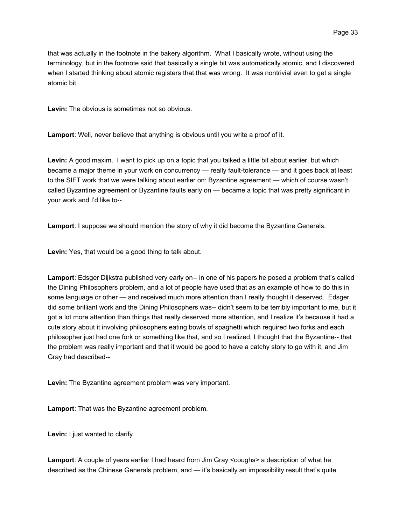that was actually in the footnote in the bakery algorithm. What I basically wrote, without using the terminology, but in the footnote said that basically a single bit was automatically atomic, and I discovered when I started thinking about atomic registers that that was wrong. It was nontrivial even to get a single atomic bit.

**Levin:** The obvious is sometimes not so obvious.

**Lamport**: Well, never believe that anything is obvious until you write a proof of it.

**Levin:** A good maxim. I want to pick up on a topic that you talked a little bit about earlier, but which became a major theme in your work on concurrency — really fault-tolerance — and it goes back at least to the SIFT work that we were talking about earlier on: Byzantine agreement — which of course wasn't called Byzantine agreement or Byzantine faults early on — became a topic that was pretty significant in your work and I'd like to--

**Lamport**: I suppose we should mention the story of why it did become the Byzantine Generals.

**Levin:** Yes, that would be a good thing to talk about.

**Lamport**: Edsger Dijkstra published very early on-- in one of his papers he posed a problem that's called the Dining Philosophers problem, and a lot of people have used that as an example of how to do this in some language or other — and received much more attention than I really thought it deserved. Edsger did some brilliant work and the Dining Philosophers was-- didn't seem to be terribly important to me, but it got a lot more attention than things that really deserved more attention, and I realize it's because it had a cute story about it involving philosophers eating bowls of spaghetti which required two forks and each philosopher just had one fork or something like that, and so I realized, I thought that the Byzantine-- that the problem was really important and that it would be good to have a catchy story to go with it, and Jim Gray had described--

**Levin:** The Byzantine agreement problem was very important.

**Lamport**: That was the Byzantine agreement problem.

**Levin:** I just wanted to clarify.

**Lamport**: A couple of years earlier I had heard from Jim Gray <coughs> a description of what he described as the Chinese Generals problem, and — it's basically an impossibility result that's quite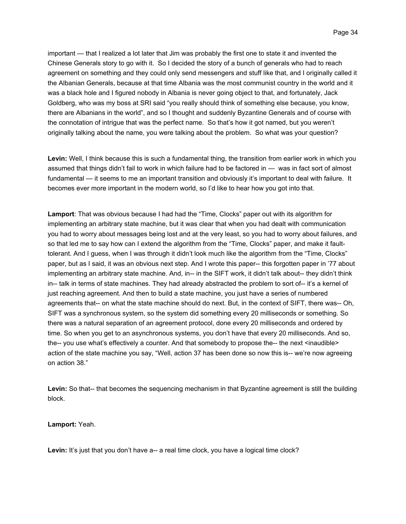important — that I realized a lot later that Jim was probably the first one to state it and invented the Chinese Generals story to go with it. So I decided the story of a bunch of generals who had to reach agreement on something and they could only send messengers and stuff like that, and I originally called it the Albanian Generals, because at that time Albania was the most communist country in the world and it was a black hole and I figured nobody in Albania is never going object to that, and fortunately, Jack Goldberg, who was my boss at SRI said "you really should think of something else because, you know, there are Albanians in the world", and so I thought and suddenly Byzantine Generals and of course with the connotation of intrigue that was the perfect name. So that's how it got named, but you weren't originally talking about the name, you were talking about the problem. So what was your question?

**Levin:** Well, I think because this is such a fundamental thing, the transition from earlier work in which you assumed that things didn't fail to work in which failure had to be factored in — was in fact sort of almost fundamental — it seems to me an important transition and obviously it's important to deal with failure. It becomes ever more important in the modern world, so I'd like to hear how you got into that.

**Lamport**: That was obvious because I had had the "Time, Clocks" paper out with its algorithm for implementing an arbitrary state machine, but it was clear that when you had dealt with communication you had to worry about messages being lost and at the very least, so you had to worry about failures, and so that led me to say how can I extend the algorithm from the "Time, Clocks" paper, and make it faulttolerant. And I guess, when I was through it didn't look much like the algorithm from the "Time, Clocks" paper, but as I said, it was an obvious next step. And I wrote this paper-- this forgotten paper in '77 about implementing an arbitrary state machine. And, in-- in the SIFT work, it didn't talk about-- they didn't think in-- talk in terms of state machines. They had already abstracted the problem to sort of-- it's a kernel of just reaching agreement. And then to build a state machine, you just have a series of numbered agreements that-- on what the state machine should do next. But, in the context of SIFT, there was-- Oh, SIFT was a synchronous system, so the system did something every 20 milliseconds or something. So there was a natural separation of an agreement protocol, done every 20 milliseconds and ordered by time. So when you get to an asynchronous systems, you don't have that every 20 milliseconds. And so, the-- you use what's effectively a counter. And that somebody to propose the-- the next <inaudible> action of the state machine you say, "Well, action 37 has been done so now this is-- we're now agreeing on action 38."

**Levin:** So that-- that becomes the sequencing mechanism in that Byzantine agreement is still the building block.

#### **Lamport:** Yeah.

Levin: It's just that you don't have a-- a real time clock, you have a logical time clock?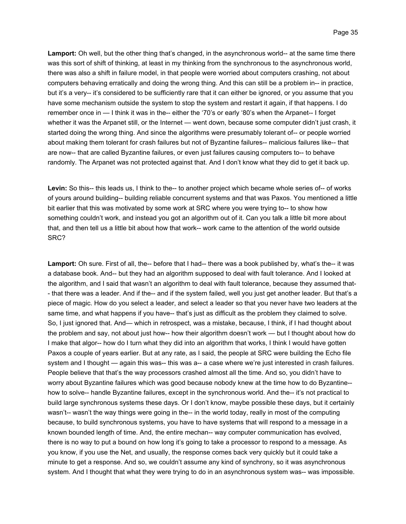**Lamport:** Oh well, but the other thing that's changed, in the asynchronous world-- at the same time there was this sort of shift of thinking, at least in my thinking from the synchronous to the asynchronous world, there was also a shift in failure model, in that people were worried about computers crashing, not about computers behaving erratically and doing the wrong thing. And this can still be a problem in-- in practice, but it's a very-- it's considered to be sufficiently rare that it can either be ignored, or you assume that you have some mechanism outside the system to stop the system and restart it again, if that happens. I do remember once in — I think it was in the-- either the '70's or early '80's when the Arpanet-- I forget whether it was the Arpanet still, or the Internet — went down, because some computer didn't just crash, it started doing the wrong thing. And since the algorithms were presumably tolerant of-- or people worried about making them tolerant for crash failures but not of Byzantine failures-- malicious failures like-- that are now-- that are called Byzantine failures, or even just failures causing computers to-- to behave randomly. The Arpanet was not protected against that. And I don't know what they did to get it back up.

**Levin:** So this-- this leads us, I think to the-- to another project which became whole series of-- of works of yours around building-- building reliable concurrent systems and that was Paxos. You mentioned a little bit earlier that this was motivated by some work at SRC where you were trying to-- to show how something couldn't work, and instead you got an algorithm out of it. Can you talk a little bit more about that, and then tell us a little bit about how that work-- work came to the attention of the world outside SRC?

**Lamport:** Oh sure. First of all, the-- before that I had-- there was a book published by, what's the-- it was a database book. And-- but they had an algorithm supposed to deal with fault tolerance. And I looked at the algorithm, and I said that wasn't an algorithm to deal with fault tolerance, because they assumed that- - that there was a leader. And if the-- and if the system failed, well you just get another leader. But that's a piece of magic. How do you select a leader, and select a leader so that you never have two leaders at the same time, and what happens if you have-- that's just as difficult as the problem they claimed to solve. So, I just ignored that. And— which in retrospect, was a mistake, because, I think, if I had thought about the problem and say, not about just how-- how their algorithm doesn't work — but I thought about how do I make that algor-- how do I turn what they did into an algorithm that works, I think I would have gotten Paxos a couple of years earlier. But at any rate, as I said, the people at SRC were building the Echo file system and I thought — again this was-- this was a-- a case where we're just interested in crash failures. People believe that that's the way processors crashed almost all the time. And so, you didn't have to worry about Byzantine failures which was good because nobody knew at the time how to do Byzantine- how to solve-- handle Byzantine failures, except in the synchronous world. And the-- it's not practical to build large synchronous systems these days. Or I don't know, maybe possible these days, but it certainly wasn't-- wasn't the way things were going in the-- in the world today, really in most of the computing because, to build synchronous systems, you have to have systems that will respond to a message in a known bounded length of time. And, the entire mechan-- way computer communication has evolved, there is no way to put a bound on how long it's going to take a processor to respond to a message. As you know, if you use the Net, and usually, the response comes back very quickly but it could take a minute to get a response. And so, we couldn't assume any kind of synchrony, so it was asynchronous system. And I thought that what they were trying to do in an asynchronous system was-- was impossible.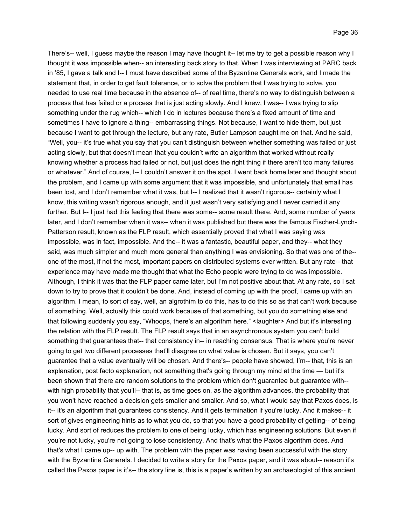There's-- well, I guess maybe the reason I may have thought it-- let me try to get a possible reason why I thought it was impossible when-- an interesting back story to that. When I was interviewing at PARC back in '85, I gave a talk and I-- I must have described some of the Byzantine Generals work, and I made the statement that, in order to get fault tolerance, or to solve the problem that I was trying to solve, you needed to use real time because in the absence of-- of real time, there's no way to distinguish between a process that has failed or a process that is just acting slowly. And I knew, I was-- I was trying to slip something under the rug which-- which I do in lectures because there's a fixed amount of time and sometimes I have to ignore a thing-- embarrassing things. Not because, I want to hide them, but just because I want to get through the lecture, but any rate, Butler Lampson caught me on that. And he said, "Well, you-- it's true what you say that you can't distinguish between whether something was failed or just acting slowly, but that doesn't mean that you couldn't write an algorithm that worked without really knowing whether a process had failed or not, but just does the right thing if there aren't too many failures or whatever." And of course, I-- I couldn't answer it on the spot. I went back home later and thought about the problem, and I came up with some argument that it was impossible, and unfortunately that email has been lost, and I don't remember what it was, but I-- I realized that it wasn't rigorous-- certainly what I know, this writing wasn't rigorous enough, and it just wasn't very satisfying and I never carried it any further. But I-- I just had this feeling that there was some-- some result there. And, some number of years later, and I don't remember when it was-- when it was published but there was the famous Fischer-Lynch-Patterson result, known as the FLP result, which essentially proved that what I was saying was impossible, was in fact, impossible. And the-- it was a fantastic, beautiful paper, and they-- what they said, was much simpler and much more general than anything I was envisioning. So that was one of the- one of the most, if not the most, important papers on distributed systems ever written. But any rate-- that experience may have made me thought that what the Echo people were trying to do was impossible. Although, I think it was that the FLP paper came later, but I'm not positive about that. At any rate, so I sat down to try to prove that it couldn't be done. And, instead of coming up with the proof, I came up with an algorithm. I mean, to sort of say, well, an algrothim to do this, has to do this so as that can't work because of something. Well, actually this could work because of that something, but you do something else and that following suddenly you say, "Whoops, there's an algorithm here." <laughter> And but it's interesting the relation with the FLP result. The FLP result says that in an asynchronous system you can't build something that guarantees that-- that consistency in-- in reaching consensus. That is where you're never going to get two different processes that'll disagree on what value is chosen. But it says, you can't guarantee that a value eventually will be chosen. And there's-- people have showed, I'm-- that, this is an explanation, post facto explanation, not something that's going through my mind at the time — but it's been shown that there are random solutions to the problem which don't guarantee but guarantee with- with high probability that you'll-- that is, as time goes on, as the algorithm advances, the probability that you won't have reached a decision gets smaller and smaller. And so, what I would say that Paxos does, is it-- it's an algorithm that guarantees consistency. And it gets termination if you're lucky. And it makes-- it sort of gives engineering hints as to what you do, so that you have a good probability of getting-- of being lucky. And sort of reduces the problem to one of being lucky, which has engineering solutions. But even if you're not lucky, you're not going to lose consistency. And that's what the Paxos algorithm does. And that's what I came up-- up with. The problem with the paper was having been successful with the story with the Byzantine Generals. I decided to write a story for the Paxos paper, and it was about-- reason it's called the Paxos paper is it's-- the story line is, this is a paper's written by an archaeologist of this ancient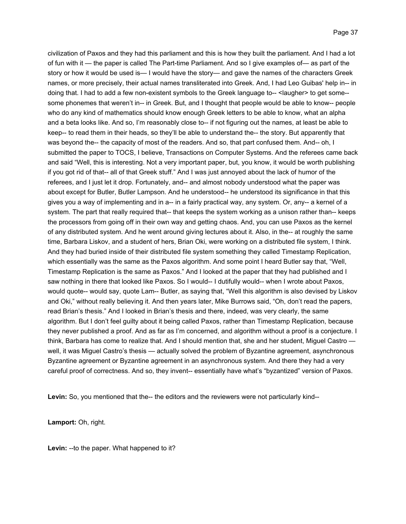civilization of Paxos and they had this parliament and this is how they built the parliament. And I had a lot of fun with it — the paper is called The Part-time Parliament. And so I give examples of— as part of the story or how it would be used is— I would have the story— and gave the names of the characters Greek names, or more precisely, their actual names transliterated into Greek. And, I had Leo Guibas' help in-- in doing that. I had to add a few non-existent symbols to the Greek language to-- <laugher> to get some-some phonemes that weren't in-- in Greek. But, and I thought that people would be able to know-- people who do any kind of mathematics should know enough Greek letters to be able to know, what an alpha and a beta looks like. And so, I'm reasonably close to-- if not figuring out the names, at least be able to keep-- to read them in their heads, so they'll be able to understand the-- the story. But apparently that was beyond the-- the capacity of most of the readers. And so, that part confused them. And-- oh, I submitted the paper to TOCS, I believe, Transactions on Computer Systems. And the referees came back and said "Well, this is interesting. Not a very important paper, but, you know, it would be worth publishing if you got rid of that-- all of that Greek stuff." And I was just annoyed about the lack of humor of the referees, and I just let it drop. Fortunately, and-- and almost nobody understood what the paper was about except for Butler, Butler Lampson. And he understood-- he understood its significance in that this gives you a way of implementing and in a-- in a fairly practical way, any system. Or, any-- a kernel of a system. The part that really required that-- that keeps the system working as a unison rather than-- keeps the processors from going off in their own way and getting chaos. And, you can use Paxos as the kernel of any distributed system. And he went around giving lectures about it. Also, in the-- at roughly the same time, Barbara Liskov, and a student of hers, Brian Oki, were working on a distributed file system, I think. And they had buried inside of their distributed file system something they called Timestamp Replication, which essentially was the same as the Paxos algorithm. And some point I heard Butler say that, "Well, Timestamp Replication is the same as Paxos." And I looked at the paper that they had published and I saw nothing in there that looked like Paxos. So I would-- I dutifully would-- when I wrote about Paxos, would quote-- would say, quote Lam-- Butler, as saying that, "Well this algorithm is also devised by Liskov and Oki," without really believing it. And then years later, Mike Burrows said, "Oh, don't read the papers, read Brian's thesis." And I looked in Brian's thesis and there, indeed, was very clearly, the same algorithm. But I don't feel guilty about it being called Paxos, rather than Timestamp Replication, because they never published a proof. And as far as I'm concerned, and algorithm without a proof is a conjecture. I think, Barbara has come to realize that. And I should mention that, she and her student, Miguel Castro well, it was Miguel Castro's thesis — actually solved the problem of Byzantine agreement, asynchronous Byzantine agreement or Byzantine agreement in an asynchronous system. And there they had a very careful proof of correctness. And so, they invent-- essentially have what's "byzantized" version of Paxos.

**Levin:** So, you mentioned that the-- the editors and the reviewers were not particularly kind--

**Lamport:** Oh, right.

**Levin:** --to the paper. What happened to it?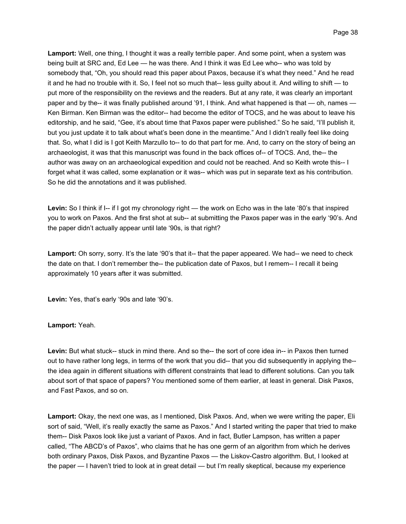**Lamport:** Well, one thing, I thought it was a really terrible paper. And some point, when a system was being built at SRC and, Ed Lee — he was there. And I think it was Ed Lee who-- who was told by somebody that, "Oh, you should read this paper about Paxos, because it's what they need." And he read it and he had no trouble with it. So, I feel not so much that-- less guilty about it. And willing to shift — to put more of the responsibility on the reviews and the readers. But at any rate, it was clearly an important paper and by the-- it was finally published around '91, I think. And what happened is that — oh, names — Ken Birman. Ken Birman was the editor-- had become the editor of TOCS, and he was about to leave his editorship, and he said, "Gee, it's about time that Paxos paper were published." So he said, "I'll publish it, but you just update it to talk about what's been done in the meantime." And I didn't really feel like doing that. So, what I did is I got Keith Marzullo to-- to do that part for me. And, to carry on the story of being an archaeologist, it was that this manuscript was found in the back offices of-- of TOCS. And, the-- the author was away on an archaeological expedition and could not be reached. And so Keith wrote this-- I forget what it was called, some explanation or it was-- which was put in separate text as his contribution. So he did the annotations and it was published.

Levin: So I think if I<sub>-</sub>- if I got my chronology right — the work on Echo was in the late '80's that inspired you to work on Paxos. And the first shot at sub-- at submitting the Paxos paper was in the early '90's. And the paper didn't actually appear until late '90s, is that right?

**Lamport:** Oh sorry, sorry. It's the late '90's that it-- that the paper appeared. We had-- we need to check the date on that. I don't remember the-- the publication date of Paxos, but I remem-- I recall it being approximately 10 years after it was submitted.

**Levin:** Yes, that's early '90s and late '90's.

## **Lamport:** Yeah.

**Levin:** But what stuck-- stuck in mind there. And so the-- the sort of core idea in-- in Paxos then turned out to have rather long legs, in terms of the work that you did-- that you did subsequently in applying the- the idea again in different situations with different constraints that lead to different solutions. Can you talk about sort of that space of papers? You mentioned some of them earlier, at least in general. Disk Paxos, and Fast Paxos, and so on.

**Lamport:** Okay, the next one was, as I mentioned, Disk Paxos. And, when we were writing the paper, Eli sort of said, "Well, it's really exactly the same as Paxos." And I started writing the paper that tried to make them-- Disk Paxos look like just a variant of Paxos. And in fact, Butler Lampson, has written a paper called, "The ABCD's of Paxos", who claims that he has one germ of an algorithm from which he derives both ordinary Paxos, Disk Paxos, and Byzantine Paxos — the Liskov-Castro algorithm. But, I looked at the paper — I haven't tried to look at in great detail — but I'm really skeptical, because my experience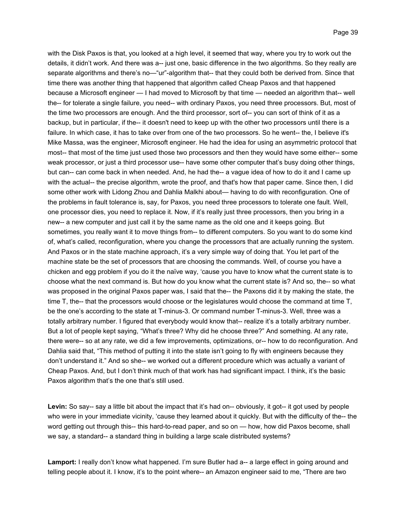with the Disk Paxos is that, you looked at a high level, it seemed that way, where you try to work out the details, it didn't work. And there was a-- just one, basic difference in the two algorithms. So they really are separate algorithms and there's no—"ur"-algorithm that-- that they could both be derived from. Since that time there was another thing that happened that algorithm called Cheap Paxos and that happened because a Microsoft engineer — I had moved to Microsoft by that time — needed an algorithm that-- well the-- for tolerate a single failure, you need-- with ordinary Paxos, you need three processors. But, most of the time two processors are enough. And the third processor, sort of-- you can sort of think of it as a backup, but in particular, if the-- it doesn't need to keep up with the other two processors until there is a failure. In which case, it has to take over from one of the two processors. So he went-- the, I believe it's Mike Massa, was the engineer, Microsoft engineer. He had the idea for using an asymmetric protocol that most-- that most of the time just used those two processors and then they would have some either-- some weak processor, or just a third processor use-- have some other computer that's busy doing other things, but can-- can come back in when needed. And, he had the-- a vague idea of how to do it and I came up with the actual-- the precise algorithm, wrote the proof, and that's how that paper came. Since then, I did some other work with Lidong Zhou and Dahlia Malkhi about— having to do with reconfiguration. One of the problems in fault tolerance is, say, for Paxos, you need three processors to tolerate one fault. Well, one processor dies, you need to replace it. Now, if it's really just three processors, then you bring in a new-- a new computer and just call it by the same name as the old one and it keeps going. But sometimes, you really want it to move things from-- to different computers. So you want to do some kind of, what's called, reconfiguration, where you change the processors that are actually running the system. And Paxos or in the state machine approach, it's a very simple way of doing that. You let part of the machine state be the set of processors that are choosing the commands. Well, of course you have a chicken and egg problem if you do it the naïve way, 'cause you have to know what the current state is to choose what the next command is. But how do you know what the current state is? And so, the-- so what was proposed in the original Paxos paper was, I said that the-- the Paxons did it by making the state, the time T, the-- that the processors would choose or the legislatures would choose the command at time T, be the one's according to the state at T-minus-3. Or command number T-minus-3. Well, three was a totally arbitrary number. I figured that everybody would know that-- realize it's a totally arbitrary number. But a lot of people kept saying, "What's three? Why did he choose three?" And something. At any rate, there were-- so at any rate, we did a few improvements, optimizations, or-- how to do reconfiguration. And Dahlia said that, "This method of putting it into the state isn't going to fly with engineers because they don't understand it." And so she-- we worked out a different procedure which was actually a variant of Cheap Paxos. And, but I don't think much of that work has had significant impact. I think, it's the basic Paxos algorithm that's the one that's still used.

Levin: So say-- say a little bit about the impact that it's had on-- obviously, it got-- it got used by people who were in your immediate vicinity, 'cause they learned about it quickly. But with the difficulty of the-- the word getting out through this-- this hard-to-read paper, and so on — how, how did Paxos become, shall we say, a standard-- a standard thing in building a large scale distributed systems?

Lamport: I really don't know what happened. I'm sure Butler had a-- a large effect in going around and telling people about it. I know, it's to the point where-- an Amazon engineer said to me, "There are two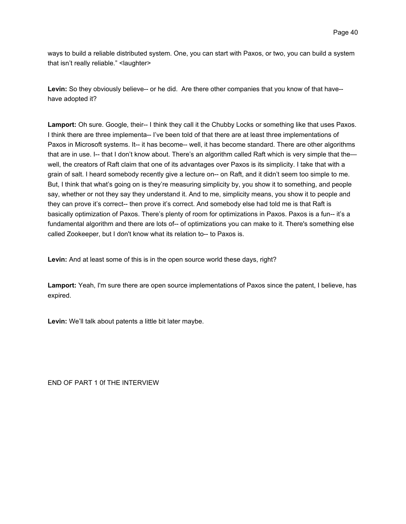ways to build a reliable distributed system. One, you can start with Paxos, or two, you can build a system that isn't really reliable." <laughter>

**Levin:** So they obviously believe-- or he did. Are there other companies that you know of that have- have adopted it?

**Lamport:** Oh sure. Google, their-- I think they call it the Chubby Locks or something like that uses Paxos. I think there are three implementa-- I've been told of that there are at least three implementations of Paxos in Microsoft systems. It-- it has become-- well, it has become standard. There are other algorithms that are in use. I-- that I don't know about. There's an algorithm called Raft which is very simple that the well, the creators of Raft claim that one of its advantages over Paxos is its simplicity. I take that with a grain of salt. I heard somebody recently give a lecture on-- on Raft, and it didn't seem too simple to me. But, I think that what's going on is they're measuring simplicity by, you show it to something, and people say, whether or not they say they understand it. And to me, simplicity means, you show it to people and they can prove it's correct-- then prove it's correct. And somebody else had told me is that Raft is basically optimization of Paxos. There's plenty of room for optimizations in Paxos. Paxos is a fun-- it's a fundamental algorithm and there are lots of-- of optimizations you can make to it. There's something else called Zookeeper, but I don't know what its relation to-- to Paxos is.

**Levin:** And at least some of this is in the open source world these days, right?

**Lamport:** Yeah, I'm sure there are open source implementations of Paxos since the patent, I believe, has expired.

**Levin:** We'll talk about patents a little bit later maybe.

END OF PART 1 0f THE INTERVIEW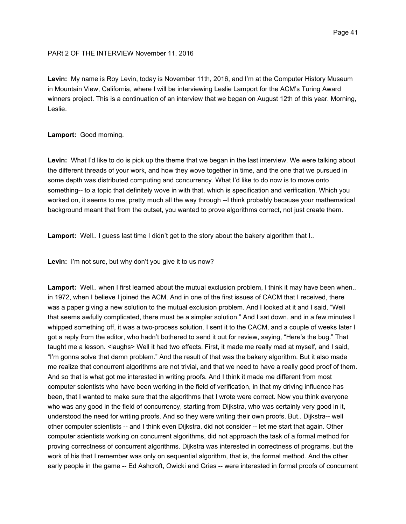# PARt 2 OF THE INTERVIEW November 11, 2016

**Levin:** My name is Roy Levin, today is November 11th, 2016, and I'm at the Computer History Museum in Mountain View, California, where I will be interviewing Leslie Lamport for the ACM's Turing Award winners project. This is a continuation of an interview that we began on August 12th of this year. Morning, Leslie.

# **Lamport:** Good morning.

**Levin:** What I'd like to do is pick up the theme that we began in the last interview. We were talking about the different threads of your work, and how they wove together in time, and the one that we pursued in some depth was distributed computing and concurrency. What I'd like to do now is to move onto something-- to a topic that definitely wove in with that, which is specification and verification. Which you worked on, it seems to me, pretty much all the way through --I think probably because your mathematical background meant that from the outset, you wanted to prove algorithms correct, not just create them.

**Lamport:** Well.. I guess last time I didn't get to the story about the bakery algorithm that I..

**Levin:** I'm not sure, but why don't you give it to us now?

**Lamport:** Well.. when I first learned about the mutual exclusion problem, I think it may have been when.. in 1972, when I believe I joined the ACM. And in one of the first issues of CACM that I received, there was a paper giving a new solution to the mutual exclusion problem. And I looked at it and I said, "Well that seems awfully complicated, there must be a simpler solution." And I sat down, and in a few minutes I whipped something off, it was a two-process solution. I sent it to the CACM, and a couple of weeks later I got a reply from the editor, who hadn't bothered to send it out for review, saying, "Here's the bug." That taught me a lesson. <laughs> Well it had two effects. First, it made me really mad at myself, and I said, "I'm gonna solve that damn problem." And the result of that was the bakery algorithm. But it also made me realize that concurrent algorithms are not trivial, and that we need to have a really good proof of them. And so that is what got me interested in writing proofs. And I think it made me different from most computer scientists who have been working in the field of verification, in that my driving influence has been, that I wanted to make sure that the algorithms that I wrote were correct. Now you think everyone who was any good in the field of concurrency, starting from Dijkstra, who was certainly very good in it, understood the need for writing proofs. And so they were writing their own proofs. But.. Dijkstra-- well other computer scientists -- and I think even Dijkstra, did not consider -- let me start that again. Other computer scientists working on concurrent algorithms, did not approach the task of a formal method for proving correctness of concurrent algorithms. Dijkstra was interested in correctness of programs, but the work of his that I remember was only on sequential algorithm, that is, the formal method. And the other early people in the game -- Ed Ashcroft, Owicki and Gries -- were interested in formal proofs of concurrent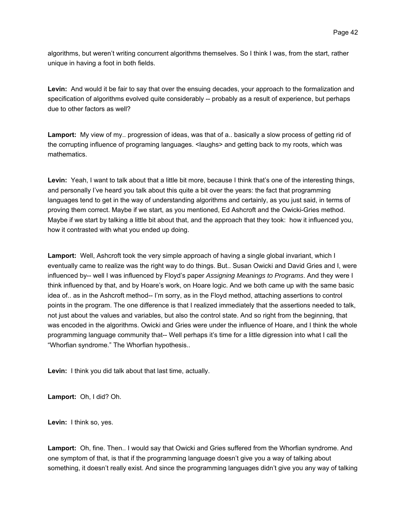algorithms, but weren't writing concurrent algorithms themselves. So I think I was, from the start, rather unique in having a foot in both fields.

**Levin:** And would it be fair to say that over the ensuing decades, your approach to the formalization and specification of algorithms evolved quite considerably -- probably as a result of experience, but perhaps due to other factors as well?

**Lamport:** My view of my.. progression of ideas, was that of a.. basically a slow process of getting rid of the corrupting influence of programing languages. <laughs> and getting back to my roots, which was mathematics.

Levin: Yeah, I want to talk about that a little bit more, because I think that's one of the interesting things, and personally I've heard you talk about this quite a bit over the years: the fact that programming languages tend to get in the way of understanding algorithms and certainly, as you just said, in terms of proving them correct. Maybe if we start, as you mentioned, Ed Ashcroft and the Owicki-Gries method. Maybe if we start by talking a little bit about that, and the approach that they took: how it influenced you, how it contrasted with what you ended up doing.

**Lamport:** Well, Ashcroft took the very simple approach of having a single global invariant, which I eventually came to realize was the right way to do things. But.. Susan Owicki and David Gries and I, were influenced by-- well I was influenced by Floyd's paper *Assigning Meanings to Programs*. And they were I think influenced by that, and by Hoare's work, on Hoare logic. And we both came up with the same basic idea of.. as in the Ashcroft method-- I'm sorry, as in the Floyd method, attaching assertions to control points in the program. The one difference is that I realized immediately that the assertions needed to talk, not just about the values and variables, but also the control state. And so right from the beginning, that was encoded in the algorithms. Owicki and Gries were under the influence of Hoare, and I think the whole programming language community that-- Well perhaps it's time for a little digression into what I call the "Whorfian syndrome." The Whorfian hypothesis..

**Levin:** I think you did talk about that last time, actually.

**Lamport:** Oh, I did? Oh.

**Levin:** I think so, yes.

**Lamport:** Oh, fine. Then.. I would say that Owicki and Gries suffered from the Whorfian syndrome. And one symptom of that, is that if the programming language doesn't give you a way of talking about something, it doesn't really exist. And since the programming languages didn't give you any way of talking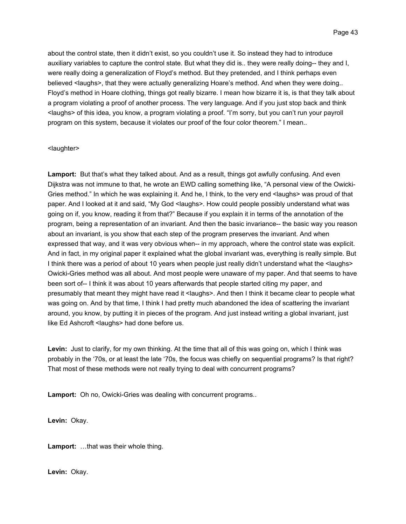about the control state, then it didn't exist, so you couldn't use it. So instead they had to introduce auxiliary variables to capture the control state. But what they did is.. they were really doing-- they and I, were really doing a generalization of Floyd's method. But they pretended, and I think perhaps even believed <laughs>, that they were actually generalizing Hoare's method. And when they were doing.. Floyd's method in Hoare clothing, things got really bizarre. I mean how bizarre it is, is that they talk about a program violating a proof of another process. The very language. And if you just stop back and think <laughs> of this idea, you know, a program violating a proof. "I'm sorry, but you can't run your payroll program on this system, because it violates our proof of the four color theorem." I mean..

## <laughter>

**Lamport:** But that's what they talked about. And as a result, things got awfully confusing. And even Dijkstra was not immune to that, he wrote an EWD calling something like, "A personal view of the Owicki-Gries method." In which he was explaining it. And he, I think, to the very end <laughs> was proud of that paper. And I looked at it and said, "My God <laughs>. How could people possibly understand what was going on if, you know, reading it from that?" Because if you explain it in terms of the annotation of the program, being a representation of an invariant. And then the basic invariance-- the basic way you reason about an invariant, is you show that each step of the program preserves the invariant. And when expressed that way, and it was very obvious when-- in my approach, where the control state was explicit. And in fact, in my original paper it explained what the global invariant was, everything is really simple. But I think there was a period of about 10 years when people just really didn't understand what the <laughs> Owicki-Gries method was all about. And most people were unaware of my paper. And that seems to have been sort of-- I think it was about 10 years afterwards that people started citing my paper, and presumably that meant they might have read it <laughs>. And then I think it became clear to people what was going on. And by that time, I think I had pretty much abandoned the idea of scattering the invariant around, you know, by putting it in pieces of the program. And just instead writing a global invariant, just like Ed Ashcroft <laughs> had done before us.

Levin: Just to clarify, for my own thinking. At the time that all of this was going on, which I think was probably in the '70s, or at least the late '70s, the focus was chiefly on sequential programs? Is that right? That most of these methods were not really trying to deal with concurrent programs?

**Lamport:** Oh no, Owicki-Gries was dealing with concurrent programs..

**Levin:** Okay.

**Lamport:** …that was their whole thing.

**Levin:** Okay.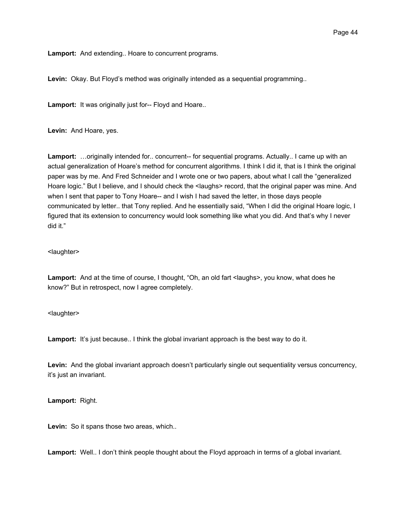**Lamport:** And extending.. Hoare to concurrent programs.

**Levin:** Okay. But Floyd's method was originally intended as a sequential programming..

**Lamport:** It was originally just for-- Floyd and Hoare..

**Levin:** And Hoare, yes.

**Lamport:** …originally intended for.. concurrent-- for sequential programs. Actually.. I came up with an actual generalization of Hoare's method for concurrent algorithms. I think I did it, that is I think the original paper was by me. And Fred Schneider and I wrote one or two papers, about what I call the "generalized Hoare logic." But I believe, and I should check the <laughs> record, that the original paper was mine. And when I sent that paper to Tony Hoare-- and I wish I had saved the letter, in those days people communicated by letter.. that Tony replied. And he essentially said, "When I did the original Hoare logic, I figured that its extension to concurrency would look something like what you did. And that's why I never did it."

# <laughter>

Lamport: And at the time of course, I thought, "Oh, an old fart <laughs>, you know, what does he know?" But in retrospect, now I agree completely.

# <laughter>

Lamport: It's just because.. I think the global invariant approach is the best way to do it.

**Levin:** And the global invariant approach doesn't particularly single out sequentiality versus concurrency, it's just an invariant.

**Lamport:** Right.

**Levin:** So it spans those two areas, which..

**Lamport:** Well.. I don't think people thought about the Floyd approach in terms of a global invariant.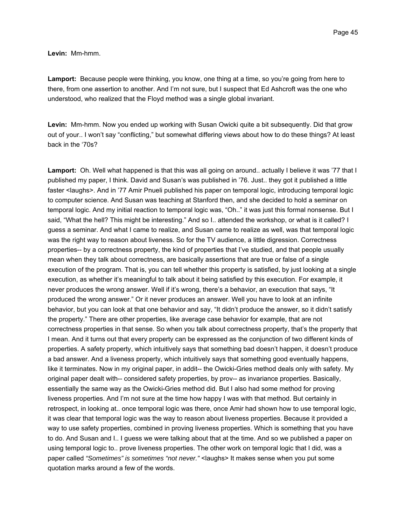**Levin:** Mm-hmm.

**Lamport:** Because people were thinking, you know, one thing at a time, so you're going from here to there, from one assertion to another. And I'm not sure, but I suspect that Ed Ashcroft was the one who understood, who realized that the Floyd method was a single global invariant.

**Levin:** Mm-hmm. Now you ended up working with Susan Owicki quite a bit subsequently. Did that grow out of your.. I won't say "conflicting," but somewhat differing views about how to do these things? At least back in the '70s?

**Lamport:** Oh. Well what happened is that this was all going on around.. actually I believe it was '77 that I published my paper, I think. David and Susan's was published in '76. Just.. they got it published a little faster <laughs>. And in '77 Amir Pnueli published his paper on temporal logic, introducing temporal logic to computer science. And Susan was teaching at Stanford then, and she decided to hold a seminar on temporal logic. And my initial reaction to temporal logic was, "Oh.." it was just this formal nonsense. But I said, "What the hell? This might be interesting." And so I.. attended the workshop, or what is it called? I guess a seminar. And what I came to realize, and Susan came to realize as well, was that temporal logic was the right way to reason about liveness. So for the TV audience, a little digression. Correctness properties-- by a correctness property, the kind of properties that I've studied, and that people usually mean when they talk about correctness, are basically assertions that are true or false of a single execution of the program. That is, you can tell whether this property is satisfied, by just looking at a single execution, as whether it's meaningful to talk about it being satisfied by this execution. For example, it never produces the wrong answer. Well if it's wrong, there's a behavior, an execution that says, "It produced the wrong answer." Or it never produces an answer. Well you have to look at an infinite behavior, but you can look at that one behavior and say, "It didn't produce the answer, so it didn't satisfy the property." There are other properties, like average case behavior for example, that are not correctness properties in that sense. So when you talk about correctness property, that's the property that I mean. And it turns out that every property can be expressed as the conjunction of two different kinds of properties. A safety property, which intuitively says that something bad doesn't happen, it doesn't produce a bad answer. And a liveness property, which intuitively says that something good eventually happens, like it terminates. Now in my original paper, in addit-- the Owicki-Gries method deals only with safety. My original paper dealt with-- considered safety properties, by prov-- as invariance properties. Basically, essentially the same way as the Owicki-Gries method did. But I also had some method for proving liveness properties. And I'm not sure at the time how happy I was with that method. But certainly in retrospect, in looking at.. once temporal logic was there, once Amir had shown how to use temporal logic, it was clear that temporal logic was the way to reason about liveness properties. Because it provided a way to use safety properties, combined in proving liveness properties. Which is something that you have to do. And Susan and I.. I guess we were talking about that at the time. And so we published a paper on using temporal logic to.. prove liveness properties. The other work on temporal logic that I did, was a paper called *"Sometimes" is sometimes "not never."* <laughs> It makes sense when you put some quotation marks around a few of the words.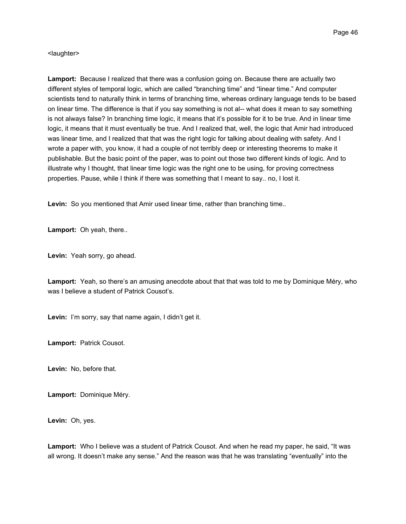<laughter>

**Lamport:** Because I realized that there was a confusion going on. Because there are actually two different styles of temporal logic, which are called "branching time" and "linear time." And computer scientists tend to naturally think in terms of branching time, whereas ordinary language tends to be based on linear time. The difference is that if you say something is not al-- what does it mean to say something is not always false? In branching time logic, it means that it's possible for it to be true. And in linear time logic, it means that it must eventually be true. And I realized that, well, the logic that Amir had introduced was linear time, and I realized that that was the right logic for talking about dealing with safety. And I wrote a paper with, you know, it had a couple of not terribly deep or interesting theorems to make it publishable. But the basic point of the paper, was to point out those two different kinds of logic. And to illustrate why I thought, that linear time logic was the right one to be using, for proving correctness properties. Pause, while I think if there was something that I meant to say.. no, I lost it.

**Levin:** So you mentioned that Amir used linear time, rather than branching time..

**Lamport:** Oh yeah, there..

**Levin:** Yeah sorry, go ahead.

**Lamport:** Yeah, so there's an amusing anecdote about that that was told to me by Dominique Méry, who was I believe a student of Patrick Cousot's.

**Levin:** I'm sorry, say that name again, I didn't get it.

**Lamport:** Patrick Cousot.

**Levin:** No, before that.

**Lamport:** Dominique Méry.

**Levin:** Oh, yes.

**Lamport:** Who I believe was a student of Patrick Cousot. And when he read my paper, he said, "It was all wrong. It doesn't make any sense." And the reason was that he was translating "eventually" into the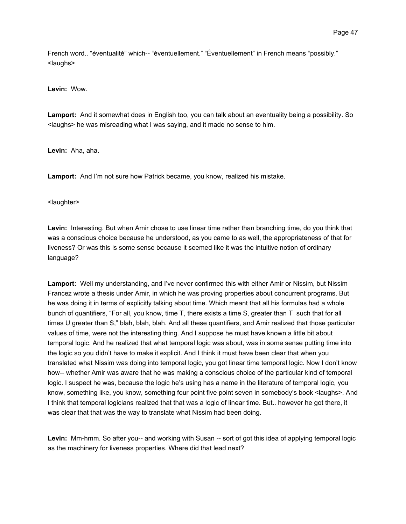French word.. "éventualité" which-- "éventuellement." "Éventuellement" in French means "possibly." <laughs>

**Levin:** Wow.

**Lamport:** And it somewhat does in English too, you can talk about an eventuality being a possibility. So <laughs> he was misreading what I was saying, and it made no sense to him.

**Levin:** Aha, aha.

**Lamport:** And I'm not sure how Patrick became, you know, realized his mistake.

<laughter>

**Levin:** Interesting. But when Amir chose to use linear time rather than branching time, do you think that was a conscious choice because he understood, as you came to as well, the appropriateness of that for liveness? Or was this is some sense because it seemed like it was the intuitive notion of ordinary language?

**Lamport:** Well my understanding, and I've never confirmed this with either Amir or Nissim, but Nissim Francez wrote a thesis under Amir, in which he was proving properties about concurrent programs. But he was doing it in terms of explicitly talking about time. Which meant that all his formulas had a whole bunch of quantifiers, "For all, you know, time T, there exists a time S, greater than T such that for all times U greater than S," blah, blah, blah. And all these quantifiers, and Amir realized that those particular values of time, were not the interesting thing. And I suppose he must have known a little bit about temporal logic. And he realized that what temporal logic was about, was in some sense putting time into the logic so you didn't have to make it explicit. And I think it must have been clear that when you translated what Nissim was doing into temporal logic, you got linear time temporal logic. Now I don't know how-- whether Amir was aware that he was making a conscious choice of the particular kind of temporal logic. I suspect he was, because the logic he's using has a name in the literature of temporal logic, you know, something like, you know, something four point five point seven in somebody's book <laughs>. And I think that temporal logicians realized that that was a logic of linear time. But.. however he got there, it was clear that that was the way to translate what Nissim had been doing.

**Levin:** Mm-hmm. So after you-- and working with Susan -- sort of got this idea of applying temporal logic as the machinery for liveness properties. Where did that lead next?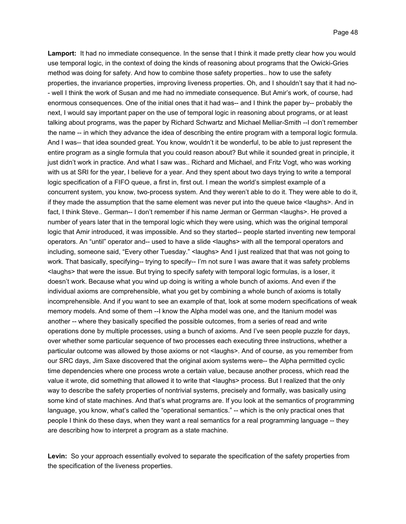**Lamport:** It had no immediate consequence. In the sense that I think it made pretty clear how you would use temporal logic, in the context of doing the kinds of reasoning about programs that the Owicki-Gries method was doing for safety. And how to combine those safety properties.. how to use the safety properties, the invariance properties, improving liveness properties. Oh, and I shouldn't say that it had no- - well I think the work of Susan and me had no immediate consequence. But Amir's work, of course, had enormous consequences. One of the initial ones that it had was-- and I think the paper by-- probably the next, I would say important paper on the use of temporal logic in reasoning about programs, or at least talking about programs, was the paper by Richard Schwartz and Michael Melliar-Smith --I don't remember the name -- in which they advance the idea of describing the entire program with a temporal logic formula. And I was-- that idea sounded great. You know, wouldn't it be wonderful, to be able to just represent the entire program as a single formula that you could reason about? But while it sounded great in principle, it just didn't work in practice. And what I saw was.. Richard and Michael, and Fritz Vogt, who was working with us at SRI for the year, I believe for a year. And they spent about two days trying to write a temporal logic specification of a FIFO queue, a first in, first out. I mean the world's simplest example of a concurrent system, you know, two-process system. And they weren't able to do it. They were able to do it, if they made the assumption that the same element was never put into the queue twice <laughs>. And in fact, I think Steve.. German-- I don't remember if his name Jerman or Gerrman <laughs>. He proved a number of years later that in the temporal logic which they were using, which was the original temporal logic that Amir introduced, it was impossible. And so they started-- people started inventing new temporal operators. An "until" operator and-- used to have a slide <laughs> with all the temporal operators and including, someone said, "Every other Tuesday." <laughs> And I just realized that that was not going to work. That basically, specifying-- trying to specify-- I'm not sure I was aware that it was safety problems <laughs> that were the issue. But trying to specify safety with temporal logic formulas, is a loser, it doesn't work. Because what you wind up doing is writing a whole bunch of axioms. And even if the individual axioms are comprehensible, what you get by combining a whole bunch of axioms is totally incomprehensible. And if you want to see an example of that, look at some modern specifications of weak memory models. And some of them --I know the Alpha model was one, and the Itanium model was another -- where they basically specified the possible outcomes, from a series of read and write operations done by multiple processes, using a bunch of axioms. And I've seen people puzzle for days, over whether some particular sequence of two processes each executing three instructions, whether a particular outcome was allowed by those axioms or not <laughs>. And of course, as you remember from our SRC days, Jim Saxe discovered that the original axiom systems were-- the Alpha permitted cyclic time dependencies where one process wrote a certain value, because another process, which read the value it wrote, did something that allowed it to write that <laughs> process. But I realized that the only way to describe the safety properties of nontrivial systems, precisely and formally, was basically using some kind of state machines. And that's what programs are. If you look at the semantics of programming language, you know, what's called the "operational semantics." -- which is the only practical ones that people I think do these days, when they want a real semantics for a real programming language -- they are describing how to interpret a program as a state machine.

**Levin:** So your approach essentially evolved to separate the specification of the safety properties from the specification of the liveness properties.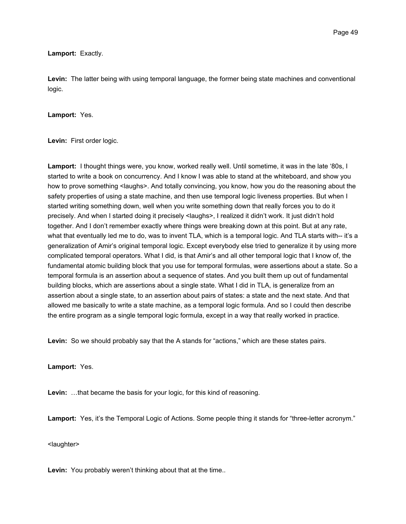**Lamport:** Exactly.

**Levin:** The latter being with using temporal language, the former being state machines and conventional logic.

## **Lamport:** Yes.

**Levin:** First order logic.

**Lamport:** I thought things were, you know, worked really well. Until sometime, it was in the late '80s, I started to write a book on concurrency. And I know I was able to stand at the whiteboard, and show you how to prove something <laughs>. And totally convincing, you know, how you do the reasoning about the safety properties of using a state machine, and then use temporal logic liveness properties. But when I started writing something down, well when you write something down that really forces you to do it precisely. And when I started doing it precisely <laughs>, I realized it didn't work. It just didn't hold together. And I don't remember exactly where things were breaking down at this point. But at any rate, what that eventually led me to do, was to invent TLA, which is a temporal logic. And TLA starts with-- it's a generalization of Amir's original temporal logic. Except everybody else tried to generalize it by using more complicated temporal operators. What I did, is that Amir's and all other temporal logic that I know of, the fundamental atomic building block that you use for temporal formulas, were assertions about a state. So a temporal formula is an assertion about a sequence of states. And you built them up out of fundamental building blocks, which are assertions about a single state. What I did in TLA, is generalize from an assertion about a single state, to an assertion about pairs of states: a state and the next state. And that allowed me basically to write a state machine, as a temporal logic formula. And so I could then describe the entire program as a single temporal logic formula, except in a way that really worked in practice.

**Levin:** So we should probably say that the A stands for "actions," which are these states pairs.

# **Lamport:** Yes.

**Levin:** …that became the basis for your logic, for this kind of reasoning.

**Lamport:** Yes, it's the Temporal Logic of Actions. Some people thing it stands for "three-letter acronym."

<laughter>

**Levin:** You probably weren't thinking about that at the time..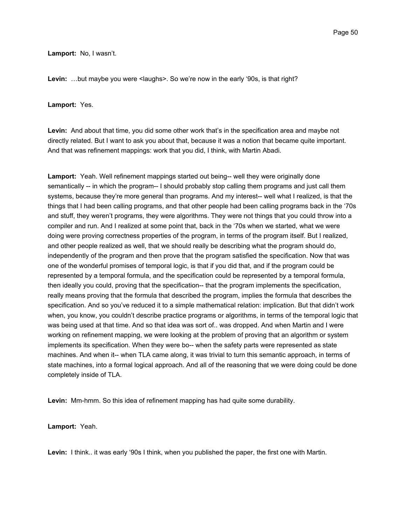## **Lamport:** No, I wasn't.

Levin: ...but maybe you were <laughs>. So we're now in the early '90s, is that right?

# **Lamport:** Yes.

**Levin:** And about that time, you did some other work that's in the specification area and maybe not directly related. But I want to ask you about that, because it was a notion that became quite important. And that was refinement mappings: work that you did, I think, with Martin Abadi.

**Lamport:** Yeah. Well refinement mappings started out being-- well they were originally done semantically -- in which the program-- I should probably stop calling them programs and just call them systems, because they're more general than programs. And my interest-- well what I realized, is that the things that I had been calling programs, and that other people had been calling programs back in the '70s and stuff, they weren't programs, they were algorithms. They were not things that you could throw into a compiler and run. And I realized at some point that, back in the '70s when we started, what we were doing were proving correctness properties of the program, in terms of the program itself. But I realized, and other people realized as well, that we should really be describing what the program should do, independently of the program and then prove that the program satisfied the specification. Now that was one of the wonderful promises of temporal logic, is that if you did that, and if the program could be represented by a temporal formula, and the specification could be represented by a temporal formula, then ideally you could, proving that the specification-- that the program implements the specification, really means proving that the formula that described the program, implies the formula that describes the specification. And so you've reduced it to a simple mathematical relation: implication. But that didn't work when, you know, you couldn't describe practice programs or algorithms, in terms of the temporal logic that was being used at that time. And so that idea was sort of.. was dropped. And when Martin and I were working on refinement mapping, we were looking at the problem of proving that an algorithm or system implements its specification. When they were bo-- when the safety parts were represented as state machines. And when it-- when TLA came along, it was trivial to turn this semantic approach, in terms of state machines, into a formal logical approach. And all of the reasoning that we were doing could be done completely inside of TLA.

**Levin:** Mm-hmm. So this idea of refinement mapping has had quite some durability.

**Lamport:** Yeah.

**Levin:** I think.. it was early '90s I think, when you published the paper, the first one with Martin.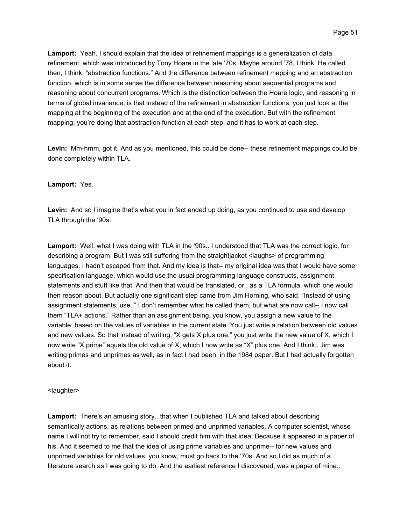**Lamport:** Yeah. I should explain that the idea of refinement mappings is a generalization of data refinement, which was introduced by Tony Hoare in the late '70s. Maybe around '78, I think. He called then, I think, "abstraction functions." And the difference between refinement mapping and an abstraction function, which is in some sense the difference between reasoning about sequential programs and reasoning about concurrent programs. Which is the distinction between the Hoare logic, and reasoning in terms of global invariance, is that instead of the refinement in abstraction functions, you just look at the mapping at the beginning of the execution and at the end of the execution. But with the refinement mapping, you're doing that abstraction function at each step, and it has to work at each step.

**Levin:** Mm-hmm, got it. And as you mentioned, this could be done-- these refinement mappings could be done completely within TLA.

#### **Lamport:** Yes.

**Levin:** And so I imagine that's what you in fact ended up doing, as you continued to use and develop TLA through the '90s.

**Lamport:** Well, what I was doing with TLA in the '90s.. I understood that TLA was the correct logic, for describing a program. But I was still suffering from the straightjacket <laughs> of programming languages. I hadn't escaped from that. And my idea is that-- my original idea was that I would have some specification language, which would use the usual programming language constructs, assignment statements and stuff like that. And then that would be translated, or.. as a TLA formula, which one would then reason about. But actually one significant step came from Jim Horning, who said, "Instead of using assignment statements, use.." I don't remember what he called them, but what are now call-- I now call them "TLA+ actions." Rather than an assignment being, you know, you assign a new value to the variable, based on the values of variables in the current state. You just write a relation between old values and new values. So that instead of writing, "X gets X plus one," you just write the new value of X, which I now write "X prime" equals the old value of X, which I now write as "X" plus one. And I think.. Jim was writing primes and unprimes as well, as in fact I had been, in the 1984 paper. But I had actually forgotten about it.

#### <laughter>

**Lamport:** There's an amusing story.. that when I published TLA and talked about describing semantically actions, as relations between primed and unprimed variables. A computer scientist, whose name I will not try to remember, said I should credit him with that idea. Because it appeared in a paper of his. And it seemed to me that the idea of using prime variables and unprime-- for new values and unprimed variables for old values, you know, must go back to the '70s. And so I did as much of a literature search as I was going to do. And the earliest reference I discovered, was a paper of mine..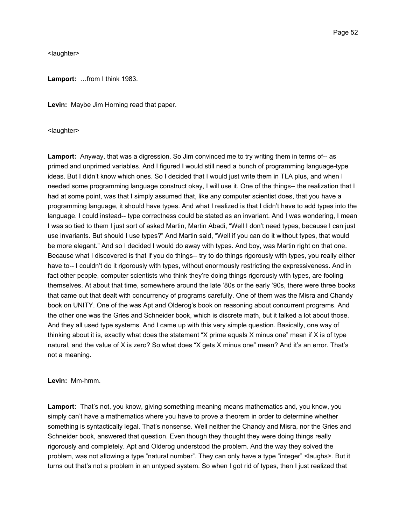<laughter>

**Lamport:** …from I think 1983.

**Levin:** Maybe Jim Horning read that paper.

<laughter>

**Lamport:** Anyway, that was a digression. So Jim convinced me to try writing them in terms of-- as primed and unprimed variables. And I figured I would still need a bunch of programming language-type ideas. But I didn't know which ones. So I decided that I would just write them in TLA plus, and when I needed some programming language construct okay, I will use it. One of the things-- the realization that I had at some point, was that I simply assumed that, like any computer scientist does, that you have a programming language, it should have types. And what I realized is that I didn't have to add types into the language. I could instead-- type correctness could be stated as an invariant. And I was wondering, I mean I was so tied to them I just sort of asked Martin, Martin Abadi, "Well I don't need types, because I can just use invariants. But should I use types?" And Martin said, "Well if you can do it without types, that would be more elegant." And so I decided I would do away with types. And boy, was Martin right on that one. Because what I discovered is that if you do things-- try to do things rigorously with types, you really either have to-- I couldn't do it rigorously with types, without enormously restricting the expressiveness. And in fact other people, computer scientists who think they're doing things rigorously with types, are fooling themselves. At about that time, somewhere around the late '80s or the early '90s, there were three books that came out that dealt with concurrency of programs carefully. One of them was the Misra and Chandy book on UNITY. One of the was Apt and Olderog's book on reasoning about concurrent programs. And the other one was the Gries and Schneider book, which is discrete math, but it talked a lot about those. And they all used type systems. And I came up with this very simple question. Basically, one way of thinking about it is, exactly what does the statement "X prime equals X minus one" mean if X is of type natural, and the value of X is zero? So what does "X gets X minus one" mean? And it's an error. That's not a meaning.

## **Levin:** Mm-hmm.

**Lamport:** That's not, you know, giving something meaning means mathematics and, you know, you simply can't have a mathematics where you have to prove a theorem in order to determine whether something is syntactically legal. That's nonsense. Well neither the Chandy and Misra, nor the Gries and Schneider book, answered that question. Even though they thought they were doing things really rigorously and completely. Apt and Olderog understood the problem. And the way they solved the problem, was not allowing a type "natural number". They can only have a type "integer" <laughs>. But it turns out that's not a problem in an untyped system. So when I got rid of types, then I just realized that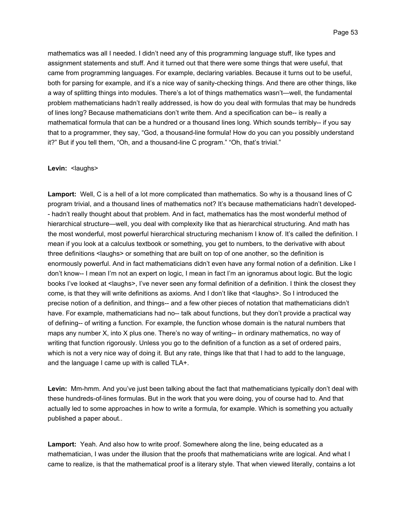mathematics was all I needed. I didn't need any of this programming language stuff, like types and assignment statements and stuff. And it turned out that there were some things that were useful, that came from programming languages. For example, declaring variables. Because it turns out to be useful, both for parsing for example, and it's a nice way of sanity-checking things. And there are other things, like a way of splitting things into modules. There's a lot of things mathematics wasn't—well, the fundamental problem mathematicians hadn't really addressed, is how do you deal with formulas that may be hundreds of lines long? Because mathematicians don't write them. And a specification can be-- is really a mathematical formula that can be a hundred or a thousand lines long. Which sounds terribly-- if you say that to a programmer, they say, "God, a thousand-line formula! How do you can you possibly understand it?" But if you tell them, "Oh, and a thousand-line C program." "Oh, that's trivial."

## Levin: <laughs>

**Lamport:** Well, C is a hell of a lot more complicated than mathematics. So why is a thousand lines of C program trivial, and a thousand lines of mathematics not? It's because mathematicians hadn't developed- - hadn't really thought about that problem. And in fact, mathematics has the most wonderful method of hierarchical structure—well, you deal with complexity like that as hierarchical structuring. And math has the most wonderful, most powerful hierarchical structuring mechanism I know of. It's called the definition. I mean if you look at a calculus textbook or something, you get to numbers, to the derivative with about three definitions <laughs> or something that are built on top of one another, so the definition is enormously powerful. And in fact mathematicians didn't even have any formal notion of a definition. Like I don't know-- I mean I'm not an expert on logic, I mean in fact I'm an ignoramus about logic. But the logic books I've looked at <laughs>, I've never seen any formal definition of a definition. I think the closest they come, is that they will write definitions as axioms. And I don't like that <laughs>. So I introduced the precise notion of a definition, and things-- and a few other pieces of notation that mathematicians didn't have. For example, mathematicians had no-- talk about functions, but they don't provide a practical way of defining-- of writing a function. For example, the function whose domain is the natural numbers that maps any number X, into X plus one. There's no way of writing-- in ordinary mathematics, no way of writing that function rigorously. Unless you go to the definition of a function as a set of ordered pairs, which is not a very nice way of doing it. But any rate, things like that that I had to add to the language, and the language I came up with is called TLA+.

**Levin:** Mm-hmm. And you've just been talking about the fact that mathematicians typically don't deal with these hundreds-of-lines formulas. But in the work that you were doing, you of course had to. And that actually led to some approaches in how to write a formula, for example. Which is something you actually published a paper about..

**Lamport:** Yeah. And also how to write proof. Somewhere along the line, being educated as a mathematician, I was under the illusion that the proofs that mathematicians write are logical. And what I came to realize, is that the mathematical proof is a literary style. That when viewed literally, contains a lot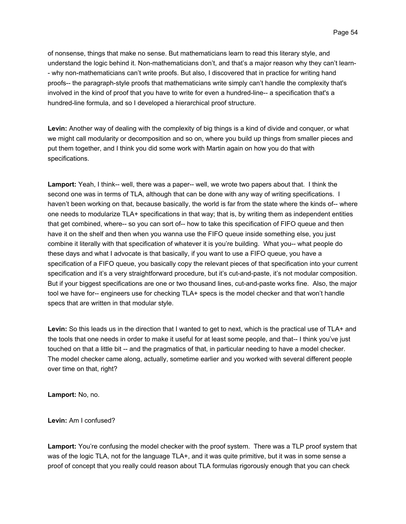of nonsense, things that make no sense. But mathematicians learn to read this literary style, and understand the logic behind it. Non-mathematicians don't, and that's a major reason why they can't learn- - why non-mathematicians can't write proofs. But also, I discovered that in practice for writing hand proofs-- the paragraph-style proofs that mathematicians write simply can't handle the complexity that's involved in the kind of proof that you have to write for even a hundred-line-- a specification that's a hundred-line formula, and so I developed a hierarchical proof structure.

**Levin:** Another way of dealing with the complexity of big things is a kind of divide and conquer, or what we might call modularity or decomposition and so on, where you build up things from smaller pieces and put them together, and I think you did some work with Martin again on how you do that with specifications.

**Lamport:** Yeah, I think-- well, there was a paper-- well, we wrote two papers about that. I think the second one was in terms of TLA, although that can be done with any way of writing specifications. I haven't been working on that, because basically, the world is far from the state where the kinds of-- where one needs to modularize TLA+ specifications in that way; that is, by writing them as independent entities that get combined, where-- so you can sort of-- how to take this specification of FIFO queue and then have it on the shelf and then when you wanna use the FIFO queue inside something else, you just combine it literally with that specification of whatever it is you're building. What you-- what people do these days and what I advocate is that basically, if you want to use a FIFO queue, you have a specification of a FIFO queue, you basically copy the relevant pieces of that specification into your current specification and it's a very straightforward procedure, but it's cut-and-paste, it's not modular composition. But if your biggest specifications are one or two thousand lines, cut-and-paste works fine. Also, the major tool we have for-- engineers use for checking TLA+ specs is the model checker and that won't handle specs that are written in that modular style.

**Levin:** So this leads us in the direction that I wanted to get to next, which is the practical use of TLA+ and the tools that one needs in order to make it useful for at least some people, and that-- I think you've just touched on that a little bit -- and the pragmatics of that, in particular needing to have a model checker. The model checker came along, actually, sometime earlier and you worked with several different people over time on that, right?

**Lamport:** No, no.

**Levin:** Am I confused?

**Lamport:** You're confusing the model checker with the proof system. There was a TLP proof system that was of the logic TLA, not for the language TLA+, and it was quite primitive, but it was in some sense a proof of concept that you really could reason about TLA formulas rigorously enough that you can check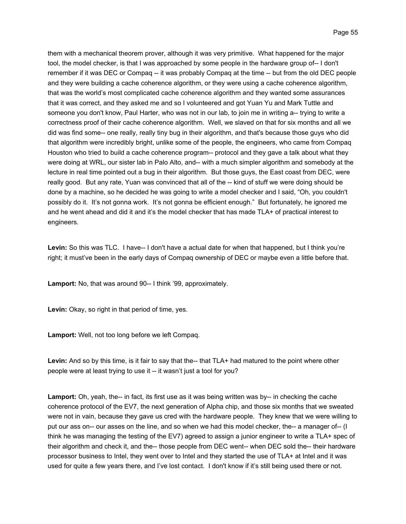them with a mechanical theorem prover, although it was very primitive. What happened for the major tool, the model checker, is that I was approached by some people in the hardware group of-- I don't remember if it was DEC or Compaq -- it was probably Compaq at the time -- but from the old DEC people and they were building a cache coherence algorithm, or they were using a cache coherence algorithm, that was the world's most complicated cache coherence algorithm and they wanted some assurances that it was correct, and they asked me and so I volunteered and got Yuan Yu and Mark Tuttle and someone you don't know, Paul Harter, who was not in our lab, to join me in writing a-- trying to write a correctness proof of their cache coherence algorithm. Well, we slaved on that for six months and all we did was find some-- one really, really tiny bug in their algorithm, and that's because those guys who did that algorithm were incredibly bright, unlike some of the people, the engineers, who came from Compaq Houston who tried to build a cache coherence program-- protocol and they gave a talk about what they were doing at WRL, our sister lab in Palo Alto, and-- with a much simpler algorithm and somebody at the lecture in real time pointed out a bug in their algorithm. But those guys, the East coast from DEC, were really good. But any rate, Yuan was convinced that all of the -- kind of stuff we were doing should be done by a machine, so he decided he was going to write a model checker and I said, "Oh, you couldn't possibly do it. It's not gonna work. It's not gonna be efficient enough." But fortunately, he ignored me and he went ahead and did it and it's the model checker that has made TLA+ of practical interest to engineers.

Levin: So this was TLC. I have-- I don't have a actual date for when that happened, but I think you're right; it must've been in the early days of Compaq ownership of DEC or maybe even a little before that.

**Lamport:** No, that was around 90-- I think '99, approximately.

**Levin:** Okay, so right in that period of time, yes.

**Lamport:** Well, not too long before we left Compaq.

Levin: And so by this time, is it fair to say that the-- that TLA+ had matured to the point where other people were at least trying to use it -- it wasn't just a tool for you?

Lamport: Oh, yeah, the-- in fact, its first use as it was being written was by-- in checking the cache coherence protocol of the EV7, the next generation of Alpha chip, and those six months that we sweated were not in vain, because they gave us cred with the hardware people. They knew that we were willing to put our ass on-- our asses on the line, and so when we had this model checker, the-- a manager of-- (I think he was managing the testing of the EV7) agreed to assign a junior engineer to write a TLA+ spec of their algorithm and check it, and the-- those people from DEC went-- when DEC sold the-- their hardware processor business to Intel, they went over to Intel and they started the use of TLA+ at Intel and it was used for quite a few years there, and I've lost contact. I don't know if it's still being used there or not.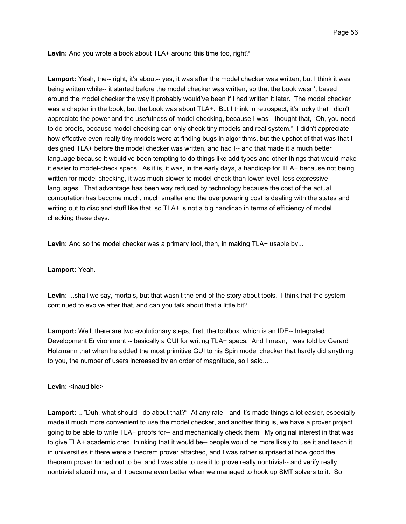**Levin:** And you wrote a book about TLA+ around this time too, right?

Lamport: Yeah, the-- right, it's about-- yes, it was after the model checker was written, but I think it was being written while-- it started before the model checker was written, so that the book wasn't based around the model checker the way it probably would've been if I had written it later. The model checker was a chapter in the book, but the book was about TLA+. But I think in retrospect, it's lucky that I didn't appreciate the power and the usefulness of model checking, because I was-- thought that, "Oh, you need to do proofs, because model checking can only check tiny models and real system." I didn't appreciate how effective even really tiny models were at finding bugs in algorithms, but the upshot of that was that I designed TLA+ before the model checker was written, and had I-- and that made it a much better language because it would've been tempting to do things like add types and other things that would make it easier to model-check specs. As it is, it was, in the early days, a handicap for TLA+ because not being written for model checking, it was much slower to model-check than lower level, less expressive languages. That advantage has been way reduced by technology because the cost of the actual computation has become much, much smaller and the overpowering cost is dealing with the states and writing out to disc and stuff like that, so TLA+ is not a big handicap in terms of efficiency of model checking these days.

Levin: And so the model checker was a primary tool, then, in making TLA+ usable by...

## **Lamport:** Yeah.

**Levin:** ...shall we say, mortals, but that wasn't the end of the story about tools. I think that the system continued to evolve after that, and can you talk about that a little bit?

**Lamport:** Well, there are two evolutionary steps, first, the toolbox, which is an IDE-- Integrated Development Environment -- basically a GUI for writing TLA+ specs. And I mean, I was told by Gerard Holzmann that when he added the most primitive GUI to his Spin model checker that hardly did anything to you, the number of users increased by an order of magnitude, so I said...

# Levin: <inaudible>

**Lamport:** ..."Duh, what should I do about that?" At any rate-- and it's made things a lot easier, especially made it much more convenient to use the model checker, and another thing is, we have a prover project going to be able to write TLA+ proofs for-- and mechanically check them. My original interest in that was to give TLA+ academic cred, thinking that it would be-- people would be more likely to use it and teach it in universities if there were a theorem prover attached, and I was rather surprised at how good the theorem prover turned out to be, and I was able to use it to prove really nontrivial-- and verify really nontrivial algorithms, and it became even better when we managed to hook up SMT solvers to it. So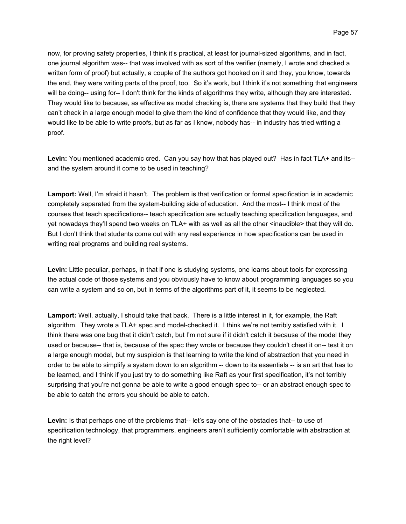now, for proving safety properties, I think it's practical, at least for journal-sized algorithms, and in fact, one journal algorithm was-- that was involved with as sort of the verifier (namely, I wrote and checked a written form of proof) but actually, a couple of the authors got hooked on it and they, you know, towards the end, they were writing parts of the proof, too. So it's work, but I think it's not something that engineers will be doing-- using for-- I don't think for the kinds of algorithms they write, although they are interested. They would like to because, as effective as model checking is, there are systems that they build that they can't check in a large enough model to give them the kind of confidence that they would like, and they would like to be able to write proofs, but as far as I know, nobody has-- in industry has tried writing a proof.

**Levin:** You mentioned academic cred. Can you say how that has played out? Has in fact TLA+ and its- and the system around it come to be used in teaching?

**Lamport:** Well, I'm afraid it hasn't. The problem is that verification or formal specification is in academic completely separated from the system-building side of education. And the most-- I think most of the courses that teach specifications-- teach specification are actually teaching specification languages, and yet nowadays they'll spend two weeks on TLA+ with as well as all the other <inaudible> that they will do. But I don't think that students come out with any real experience in how specifications can be used in writing real programs and building real systems.

**Levin:** Little peculiar, perhaps, in that if one is studying systems, one learns about tools for expressing the actual code of those systems and you obviously have to know about programming languages so you can write a system and so on, but in terms of the algorithms part of it, it seems to be neglected.

**Lamport:** Well, actually, I should take that back. There is a little interest in it, for example, the Raft algorithm. They wrote a TLA+ spec and model-checked it. I think we're not terribly satisfied with it. I think there was one bug that it didn't catch, but I'm not sure if it didn't catch it because of the model they used or because-- that is, because of the spec they wrote or because they couldn't chest it on-- test it on a large enough model, but my suspicion is that learning to write the kind of abstraction that you need in order to be able to simplify a system down to an algorithm -- down to its essentials -- is an art that has to be learned, and I think if you just try to do something like Raft as your first specification, it's not terribly surprising that you're not gonna be able to write a good enough spec to-- or an abstract enough spec to be able to catch the errors you should be able to catch.

**Levin:** Is that perhaps one of the problems that-- let's say one of the obstacles that-- to use of specification technology, that programmers, engineers aren't sufficiently comfortable with abstraction at the right level?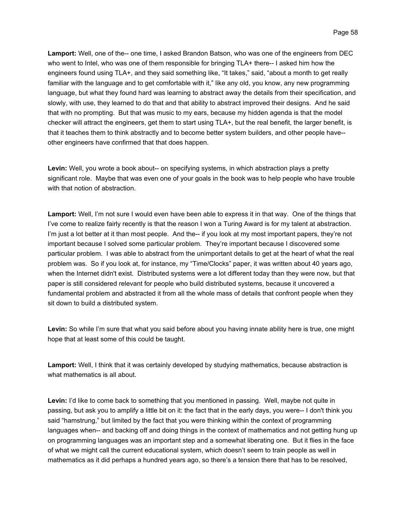**Lamport:** Well, one of the-- one time, I asked Brandon Batson, who was one of the engineers from DEC who went to Intel, who was one of them responsible for bringing TLA+ there-- I asked him how the engineers found using TLA+, and they said something like, "It takes," said, "about a month to get really familiar with the language and to get comfortable with it," like any old, you know, any new programming language, but what they found hard was learning to abstract away the details from their specification, and slowly, with use, they learned to do that and that ability to abstract improved their designs. And he said that with no prompting. But that was music to my ears, because my hidden agenda is that the model checker will attract the engineers, get them to start using TLA+, but the real benefit, the larger benefit, is that it teaches them to think abstractly and to become better system builders, and other people have- other engineers have confirmed that that does happen.

**Levin:** Well, you wrote a book about-- on specifying systems, in which abstraction plays a pretty significant role. Maybe that was even one of your goals in the book was to help people who have trouble with that notion of abstraction.

**Lamport:** Well, I'm not sure I would even have been able to express it in that way. One of the things that I've come to realize fairly recently is that the reason I won a Turing Award is for my talent at abstraction. I'm just a lot better at it than most people. And the-- if you look at my most important papers, they're not important because I solved some particular problem. They're important because I discovered some particular problem. I was able to abstract from the unimportant details to get at the heart of what the real problem was. So if you look at, for instance, my "Time/Clocks" paper, it was written about 40 years ago, when the Internet didn't exist. Distributed systems were a lot different today than they were now, but that paper is still considered relevant for people who build distributed systems, because it uncovered a fundamental problem and abstracted it from all the whole mass of details that confront people when they sit down to build a distributed system.

Levin: So while I'm sure that what you said before about you having innate ability here is true, one might hope that at least some of this could be taught.

**Lamport:** Well, I think that it was certainly developed by studying mathematics, because abstraction is what mathematics is all about.

**Levin:** I'd like to come back to something that you mentioned in passing. Well, maybe not quite in passing, but ask you to amplify a little bit on it: the fact that in the early days, you were-- I don't think you said "hamstrung," but limited by the fact that you were thinking within the context of programming languages when-- and backing off and doing things in the context of mathematics and not getting hung up on programming languages was an important step and a somewhat liberating one. But it flies in the face of what we might call the current educational system, which doesn't seem to train people as well in mathematics as it did perhaps a hundred years ago, so there's a tension there that has to be resolved,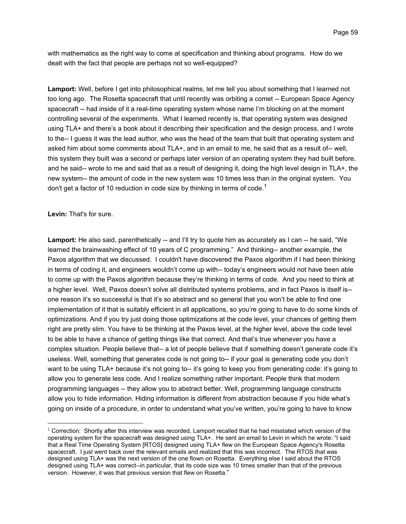with mathematics as the right way to come at specification and thinking about programs. How do we dealt with the fact that people are perhaps not so well-equipped?

**Lamport:** Well, before I get into philosophical realms, let me tell you about something that I learned not too long ago. The Rosetta spacecraft that until recently was orbiting a comet -- European Space Agency spacecraft -- had inside of it a real-time operating system whose name I'm blocking on at the moment controlling several of the experiments. What I learned recently is, that operating system was designed using TLA+ and there's a book about it describing their specification and the design process, and I wrote to the-- I guess it was the lead author, who was the head of the team that built that operating system and asked him about some comments about TLA+, and in an email to me, he said that as a result of-- well, this system they built was a second or perhaps later version of an operating system they had built before, and he said-- wrote to me and said that as a result of designing it, doing the high level design in TLA+, the new system-- the amount of code in the new system was 10 times less than in the original system. You don't get a factor of 10 reduction in code size by thinking in terms of code.<sup>1</sup>

**Levin:** That's for sure.

 $\overline{a}$ 

Lamport: He also said, parenthetically -- and I'll try to quote him as accurately as I can -- he said, "We learned the brainwashing effect of 10 years of C programming." And thinking-- another example, the Paxos algorithm that we discussed. I couldn't have discovered the Paxos algorithm if I had been thinking in terms of coding it, and engineers wouldn't come up with-- today's engineers would not have been able to come up with the Paxos algorithm because they're thinking in terms of code. And you need to think at a higher level. Well, Paxos doesn't solve all distributed systems problems, and in fact Paxos is itself is- one reason it's so successful is that it's so abstract and so general that you won't be able to find one implementation of it that is suitably efficient in all applications, so you're going to have to do some kinds of optimizations. And if you try just doing those optimizations at the code level, your chances of getting them right are pretty slim. You have to be thinking at the Paxos level, at the higher level, above the code level to be able to have a chance of getting things like that correct. And that's true whenever you have a complex situation. People believe that-- a lot of people believe that if something doesn't generate code it's useless. Well, something that generates code is not going to-- if your goal is generating code you don't want to be using TLA+ because it's not going to-- it's going to keep you from generating code: it's going to allow you to generate less code. And I realize something rather important. People think that modern programming languages -- they allow you to abstract better. Well, programming language constructs allow you to hide information. Hiding information is different from abstraction because if you hide what's going on inside of a procedure, in order to understand what you've written, you're going to have to know

 $1$  Correction: Shortly after this interview was recorded, Lamport recalled that he had misstated which version of the operating system for the spacecraft was designed using TLA+. He sent an email to Levin in which he wrote: "I said that a Real Time Operating System [RTOS] designed using TLA+ flew on the European Space Agency's Rosetta spacecraft. I just went back over the relevant emails and realized that this was incorrect. The RTOS that was designed using TLA+ was the next version of the one flown on Rosetta. Everything else I said about the RTOS designed using TLA+ was correct--in particular, that its code size was 10 times smaller than that of the previous version. However, it was that previous version that flew on Rosetta."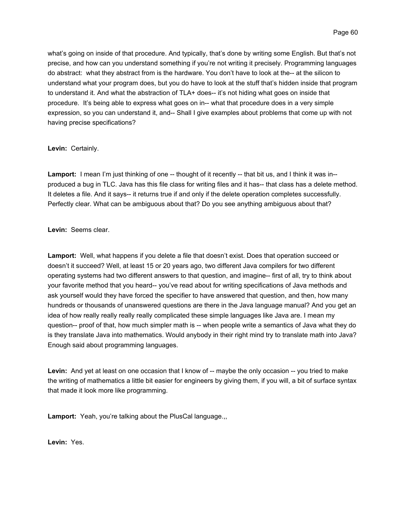Page 60

what's going on inside of that procedure. And typically, that's done by writing some English. But that's not precise, and how can you understand something if you're not writing it precisely. Programming languages do abstract: what they abstract from is the hardware. You don't have to look at the-- at the silicon to understand what your program does, but you do have to look at the stuff that's hidden inside that program to understand it. And what the abstraction of TLA+ does-- it's not hiding what goes on inside that procedure. It's being able to express what goes on in-- what that procedure does in a very simple expression, so you can understand it, and-- Shall I give examples about problems that come up with not having precise specifications?

**Levin:** Certainly.

Lamport: I mean I'm just thinking of one -- thought of it recently -- that bit us, and I think it was in-produced a bug in TLC. Java has this file class for writing files and it has-- that class has a delete method. It deletes a file. And it says-- it returns true if and only if the delete operation completes successfully. Perfectly clear. What can be ambiguous about that? Do you see anything ambiguous about that?

**Levin:** Seems clear.

**Lamport:** Well, what happens if you delete a file that doesn't exist. Does that operation succeed or doesn't it succeed? Well, at least 15 or 20 years ago, two different Java compilers for two different operating systems had two different answers to that question, and imagine-- first of all, try to think about your favorite method that you heard-- you've read about for writing specifications of Java methods and ask yourself would they have forced the specifier to have answered that question, and then, how many hundreds or thousands of unanswered questions are there in the Java language manual? And you get an idea of how really really really really complicated these simple languages like Java are. I mean my question-- proof of that, how much simpler math is -- when people write a semantics of Java what they do is they translate Java into mathematics. Would anybody in their right mind try to translate math into Java? Enough said about programming languages.

Levin: And yet at least on one occasion that I know of -- maybe the only occasion -- you tried to make the writing of mathematics a little bit easier for engineers by giving them, if you will, a bit of surface syntax that made it look more like programming.

**Lamport:** Yeah, you're talking about the PlusCal language.,,

**Levin:** Yes.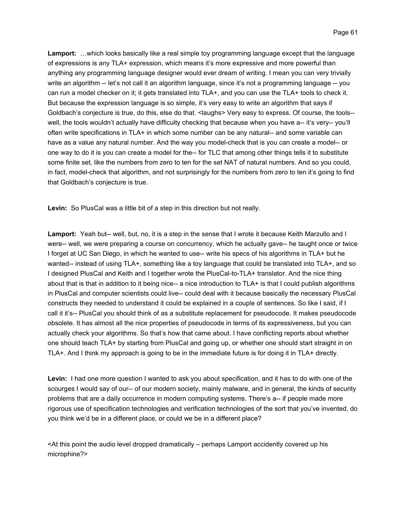**Lamport:** …which looks basically like a real simple toy programming language except that the language of expressions is any TLA+ expression, which means it's more expressive and more powerful than anything any programming language designer would ever dream of writing. I mean you can very trivially write an algorithm -- let's not call it an algorithm language, since it's not a programming language -- you can run a model checker on it; it gets translated into TLA+, and you can use the TLA+ tools to check it. But because the expression language is so simple, it's very easy to write an algorithm that says if Goldbach's conjecture is true, do this, else do that. <laughs> Very easy to express. Of course, the tools- well, the tools wouldn't actually have difficulty checking that because when you have a-- it's very-- you'll often write specifications in TLA+ in which some number can be any natural-- and some variable can have as a value any natural number. And the way you model-check that is you can create a model-- or one way to do it is you can create a model for the-- for TLC that among other things tells it to substitute some finite set, like the numbers from zero to ten for the set NAT of natural numbers. And so you could, in fact, model-check that algorithm, and not surprisingly for the numbers from zero to ten it's going to find that Goldbach's conjecture is true.

**Levin:** So PlusCal was a little bit of a step in this direction but not really.

**Lamport:** Yeah but-- well, but, no, it is a step in the sense that I wrote it because Keith Marzullo and I were-- well, we were preparing a course on concurrency, which he actually gave-- he taught once or twice I forget at UC San Diego, in which he wanted to use-- write his specs of his algorithms in TLA+ but he wanted-- instead of using TLA+, something like a toy language that could be translated into TLA+, and so I designed PlusCal and Keith and I together wrote the PlusCal-to-TLA+ translator. And the nice thing about that is that in addition to it being nice-- a nice introduction to TLA+ is that I could publish algorithms in PlusCal and computer scientists could live-- could deal with it because basically the necessary PlusCal constructs they needed to understand it could be explained in a couple of sentences. So like I said, if I call it it's-- PlusCal you should think of as a substitute replacement for pseudocode. It makes pseudocode obsolete. It has almost all the nice properties of pseudocode in terms of its expressiveness, but you can actually check your algorithms. So that's how that came about. I have conflicting reports about whether one should teach TLA+ by starting from PlusCal and going up, or whether one should start straight in on TLA+. And I think my approach is going to be in the immediate future is for doing it in TLA+ directly.

**Levin:** I had one more question I wanted to ask you about specification, and it has to do with one of the scourges I would say of our-- of our modern society, mainly malware, and in general, the kinds of security problems that are a daily occurrence in modern computing systems. There's a-- if people made more rigorous use of specification technologies and verification technologies of the sort that you've invented, do you think we'd be in a different place, or could we be in a different place?

<At this point the audio level dropped dramatically – perhaps Lamport accidently covered up his microphine?>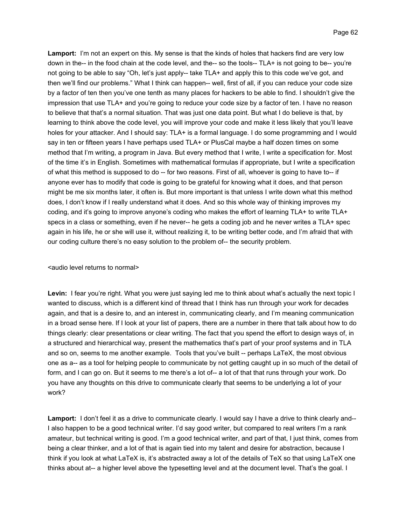**Lamport:** I'm not an expert on this. My sense is that the kinds of holes that hackers find are very low down in the-- in the food chain at the code level, and the-- so the tools-- TLA+ is not going to be-- you're not going to be able to say "Oh, let's just apply-- take TLA+ and apply this to this code we've got, and then we'll find our problems." What I think can happen-- well, first of all, if you can reduce your code size by a factor of ten then you've one tenth as many places for hackers to be able to find. I shouldn't give the impression that use TLA+ and you're going to reduce your code size by a factor of ten. I have no reason to believe that that's a normal situation. That was just one data point. But what I do believe is that, by learning to think above the code level, you will improve your code and make it less likely that you'll leave holes for your attacker. And I should say: TLA+ is a formal language. I do some programming and I would say in ten or fifteen years I have perhaps used TLA+ or PlusCal maybe a half dozen times on some method that I'm writing, a program in Java. But every method that I write, I write a specification for. Most of the time it's in English. Sometimes with mathematical formulas if appropriate, but I write a specification of what this method is supposed to do -- for two reasons. First of all, whoever is going to have to-- if anyone ever has to modify that code is going to be grateful for knowing what it does, and that person might be me six months later, it often is. But more important is that unless I write down what this method does, I don't know if I really understand what it does. And so this whole way of thinking improves my coding, and it's going to improve anyone's coding who makes the effort of learning TLA+ to write TLA+ specs in a class or something, even if he never-- he gets a coding job and he never writes a TLA+ spec again in his life, he or she will use it, without realizing it, to be writing better code, and I'm afraid that with our coding culture there's no easy solution to the problem of-- the security problem.

## <audio level returns to normal>

Levin: I fear you're right. What you were just saying led me to think about what's actually the next topic I wanted to discuss, which is a different kind of thread that I think has run through your work for decades again, and that is a desire to, and an interest in, communicating clearly, and I'm meaning communication in a broad sense here. If I look at your list of papers, there are a number in there that talk about how to do things clearly: clear presentations or clear writing. The fact that you spend the effort to design ways of, in a structured and hierarchical way, present the mathematics that's part of your proof systems and in TLA and so on, seems to me another example. Tools that you've built -- perhaps LaTeX, the most obvious one as a-- as a tool for helping people to communicate by not getting caught up in so much of the detail of form, and I can go on. But it seems to me there's a lot of-- a lot of that that runs through your work. Do you have any thoughts on this drive to communicate clearly that seems to be underlying a lot of your work?

**Lamport:** I don't feel it as a drive to communicate clearly. I would say I have a drive to think clearly and-- I also happen to be a good technical writer. I'd say good writer, but compared to real writers I'm a rank amateur, but technical writing is good. I'm a good technical writer, and part of that, I just think, comes from being a clear thinker, and a lot of that is again tied into my talent and desire for abstraction, because I think if you look at what LaTeX is, it's abstracted away a lot of the details of TeX so that using LaTeX one thinks about at-- a higher level above the typesetting level and at the document level. That's the goal. I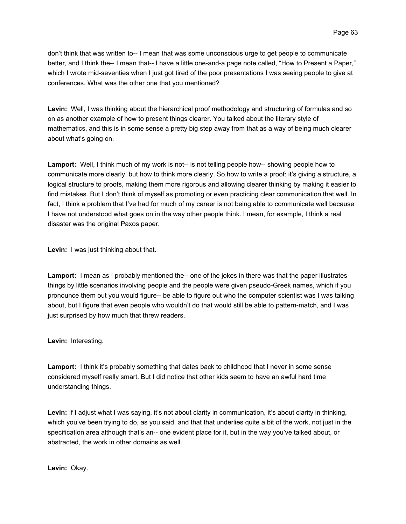don't think that was written to-- I mean that was some unconscious urge to get people to communicate better, and I think the-- I mean that-- I have a little one-and-a page note called, "How to Present a Paper," which I wrote mid-seventies when I just got tired of the poor presentations I was seeing people to give at conferences. What was the other one that you mentioned?

**Levin:** Well, I was thinking about the hierarchical proof methodology and structuring of formulas and so on as another example of how to present things clearer. You talked about the literary style of mathematics, and this is in some sense a pretty big step away from that as a way of being much clearer about what's going on.

**Lamport:** Well, I think much of my work is not-- is not telling people how-- showing people how to communicate more clearly, but how to think more clearly. So how to write a proof: it's giving a structure, a logical structure to proofs, making them more rigorous and allowing clearer thinking by making it easier to find mistakes. But I don't think of myself as promoting or even practicing clear communication that well. In fact, I think a problem that I've had for much of my career is not being able to communicate well because I have not understood what goes on in the way other people think. I mean, for example, I think a real disaster was the original Paxos paper.

**Levin:** I was just thinking about that.

**Lamport:** I mean as I probably mentioned the-- one of the jokes in there was that the paper illustrates things by little scenarios involving people and the people were given pseudo-Greek names, which if you pronounce them out you would figure-- be able to figure out who the computer scientist was I was talking about, but I figure that even people who wouldn't do that would still be able to pattern-match, and I was just surprised by how much that threw readers.

**Levin:** Interesting.

**Lamport:** I think it's probably something that dates back to childhood that I never in some sense considered myself really smart. But I did notice that other kids seem to have an awful hard time understanding things.

**Levin:** If I adjust what I was saying, it's not about clarity in communication, it's about clarity in thinking, which you've been trying to do, as you said, and that that underlies quite a bit of the work, not just in the specification area although that's an-- one evident place for it, but in the way you've talked about, or abstracted, the work in other domains as well.

**Levin:** Okay.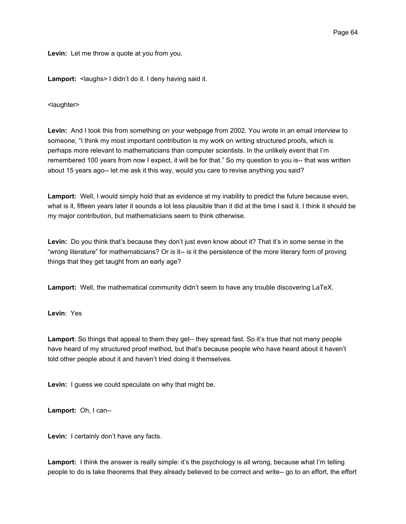**Levin:** Let me throw a quote at you from you.

Lamport: <laughs> I didn't do it. I deny having said it.

<laughter>

**Levin:** And I took this from something on your webpage from 2002. You wrote in an email interview to someone, "I think my most important contribution is my work on writing structured proofs, which is perhaps more relevant to mathematicians than computer scientists. In the unlikely event that I'm remembered 100 years from now I expect, it will be for that." So my question to you is-- that was written about 15 years ago-- let me ask it this way, would you care to revise anything you said?

**Lamport:** Well, I would simply hold that as evidence at my inability to predict the future because even, what is it, fifteen years later it sounds a lot less plausible than it did at the time I said it. I think it should be my major contribution, but mathematicians seem to think otherwise.

**Levin:** Do you think that's because they don't just even know about it? That it's in some sense in the "wrong literature" for mathematicians? Or is it-- is it the persistence of the more literary form of proving things that they get taught from an early age?

**Lamport:** Well, the mathematical community didn't seem to have any trouble discovering LaTeX.

**Levin**: Yes

Lamport: So things that appeal to them they get-- they spread fast. So it's true that not many people have heard of my structured proof method, but that's because people who have heard about it haven't told other people about it and haven't tried doing it themselves.

**Levin:** I guess we could speculate on why that might be.

**Lamport:** Oh, I can--

**Levin:** I certainly don't have any facts.

**Lamport:** I think the answer is really simple: it's the psychology is all wrong, because what I'm telling people to do is take theorems that they already believed to be correct and write-- go to an effort, the effort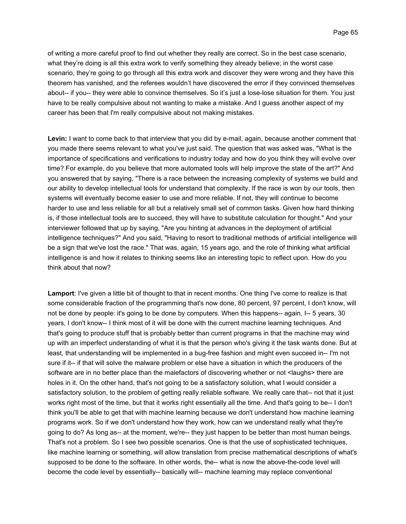of writing a more careful proof to find out whether they really are correct. So in the best case scenario, what they're doing is all this extra work to verify something they already believe; in the worst case scenario, they're going to go through all this extra work and discover they were wrong and they have this theorem has vanished, and the referees wouldn't have discovered the error if they convinced themselves about-- if you-- they were able to convince themselves. So it's just a lose-lose situation for them. You just have to be really compulsive about not wanting to make a mistake. And I guess another aspect of my career has been that I'm really compulsive about not making mistakes.

**Levin:** I want to come back to that interview that you did by e-mail, again, because another comment that you made there seems relevant to what you've just said. The question that was asked was, "What is the importance of specifications and verifications to industry today and how do you think they will evolve over time? For example, do you believe that more automated tools will help improve the state of the art?" And you answered that by saying, "There is a race between the increasing complexity of systems we build and our ability to develop intellectual tools for understand that complexity. If the race is won by our tools, then systems will eventually become easier to use and more reliable. If not, they will continue to become harder to use and less reliable for all but a relatively small set of common tasks. Given how hard thinking is, if those intellectual tools are to succeed, they will have to substitute calculation for thought." And your interviewer followed that up by saying, "Are you hinting at advances in the deployment of artificial intelligence techniques?" And you said, "Having to resort to traditional methods of artificial intelligence will be a sign that we've lost the race." That was, again, 15 years ago, and the role of thinking what artificial intelligence is and how it relates to thinking seems like an interesting topic to reflect upon. How do you think about that now?

**Lamport**: I've given a little bit of thought to that in recent months. One thing I've come to realize is that some considerable fraction of the programming that's now done, 80 percent, 97 percent, I don't know, will not be done by people: it's going to be done by computers. When this happens-- again, I-- 5 years, 30 years, I don't know-- I think most of it will be done with the current machine learning techniques. And that's going to produce stuff that is probably better than current programs in that the machine may wind up with an imperfect understanding of what it is that the person who's giving it the task wants done. But at least, that understanding will be implemented in a bug-free fashion and might even succeed in-- I'm not sure if it-- if that will solve the malware problem or else have a situation in which the producers of the software are in no better place than the malefactors of discovering whether or not <laughs> there are holes in it. On the other hand, that's not going to be a satisfactory solution, what I would consider a satisfactory solution, to the problem of getting really reliable software. We really care that-- not that it just works right most of the time, but that it works right essentially all the time. And that's going to be-- I don't think you'll be able to get that with machine learning because we don't understand how machine learning programs work. So if we don't understand how they work, how can we understand really what they're going to do? As long as-- at the moment, we're-- they just happen to be better than most human beings. That's not a problem. So I see two possible scenarios. One is that the use of sophisticated techniques, like machine learning or something, will allow translation from precise mathematical descriptions of what's supposed to be done to the software. In other words, the-- what is now the above-the-code level will become the code level by essentially-- basically will-- machine learning may replace conventional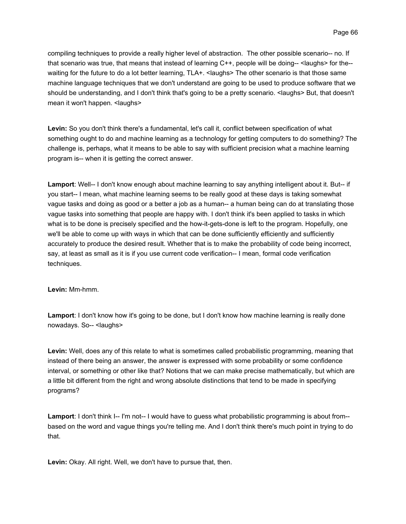compiling techniques to provide a really higher level of abstraction. The other possible scenario-- no. If that scenario was true, that means that instead of learning C++, people will be doing-- <laughs> for the- waiting for the future to do a lot better learning, TLA+. < laughs> The other scenario is that those same machine language techniques that we don't understand are going to be used to produce software that we should be understanding, and I don't think that's going to be a pretty scenario. <laughs> But, that doesn't mean it won't happen. <laughs>

**Levin:** So you don't think there's a fundamental, let's call it, conflict between specification of what something ought to do and machine learning as a technology for getting computers to do something? The challenge is, perhaps, what it means to be able to say with sufficient precision what a machine learning program is-- when it is getting the correct answer.

**Lamport**: Well-- I don't know enough about machine learning to say anything intelligent about it. But-- if you start-- I mean, what machine learning seems to be really good at these days is taking somewhat vague tasks and doing as good or a better a job as a human-- a human being can do at translating those vague tasks into something that people are happy with. I don't think it's been applied to tasks in which what is to be done is precisely specified and the how-it-gets-done is left to the program. Hopefully, one we'll be able to come up with ways in which that can be done sufficiently efficiently and sufficiently accurately to produce the desired result. Whether that is to make the probability of code being incorrect, say, at least as small as it is if you use current code verification-- I mean, formal code verification techniques.

**Levin:** Mm-hmm.

**Lamport**: I don't know how it's going to be done, but I don't know how machine learning is really done nowadays. So-- <laughs>

**Levin:** Well, does any of this relate to what is sometimes called probabilistic programming, meaning that instead of there being an answer, the answer is expressed with some probability or some confidence interval, or something or other like that? Notions that we can make precise mathematically, but which are a little bit different from the right and wrong absolute distinctions that tend to be made in specifying programs?

**Lamport:** I don't think I-- I'm not-- I would have to guess what probabilistic programming is about from-based on the word and vague things you're telling me. And I don't think there's much point in trying to do that.

**Levin:** Okay. All right. Well, we don't have to pursue that, then.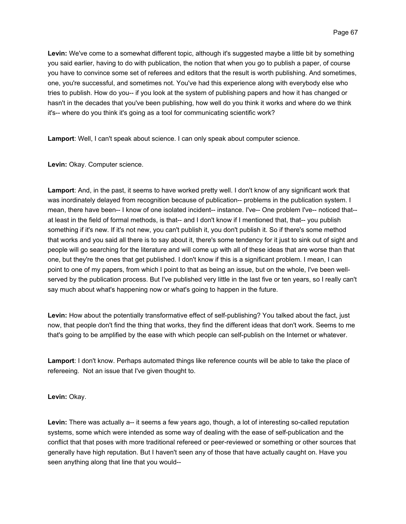**Levin:** We've come to a somewhat different topic, although it's suggested maybe a little bit by something you said earlier, having to do with publication, the notion that when you go to publish a paper, of course you have to convince some set of referees and editors that the result is worth publishing. And sometimes, one, you're successful, and sometimes not. You've had this experience along with everybody else who tries to publish. How do you-- if you look at the system of publishing papers and how it has changed or hasn't in the decades that you've been publishing, how well do you think it works and where do we think it's-- where do you think it's going as a tool for communicating scientific work?

**Lamport**: Well, I can't speak about science. I can only speak about computer science.

**Levin:** Okay. Computer science.

**Lamport**: And, in the past, it seems to have worked pretty well. I don't know of any significant work that was inordinately delayed from recognition because of publication-- problems in the publication system. I mean, there have been-- I know of one isolated incident-- instance. I've-- One problem I've-- noticed that- at least in the field of formal methods, is that-- and I don't know if I mentioned that, that-- you publish something if it's new. If it's not new, you can't publish it, you don't publish it. So if there's some method that works and you said all there is to say about it, there's some tendency for it just to sink out of sight and people will go searching for the literature and will come up with all of these ideas that are worse than that one, but they're the ones that get published. I don't know if this is a significant problem. I mean, I can point to one of my papers, from which I point to that as being an issue, but on the whole, I've been wellserved by the publication process. But I've published very little in the last five or ten years, so I really can't say much about what's happening now or what's going to happen in the future.

**Levin:** How about the potentially transformative effect of self-publishing? You talked about the fact, just now, that people don't find the thing that works, they find the different ideas that don't work. Seems to me that's going to be amplified by the ease with which people can self-publish on the Internet or whatever.

**Lamport**: I don't know. Perhaps automated things like reference counts will be able to take the place of refereeing. Not an issue that I've given thought to.

**Levin:** Okay.

**Levin:** There was actually a-- it seems a few years ago, though, a lot of interesting so-called reputation systems, some which were intended as some way of dealing with the ease of self-publication and the conflict that that poses with more traditional refereed or peer-reviewed or something or other sources that generally have high reputation. But I haven't seen any of those that have actually caught on. Have you seen anything along that line that you would--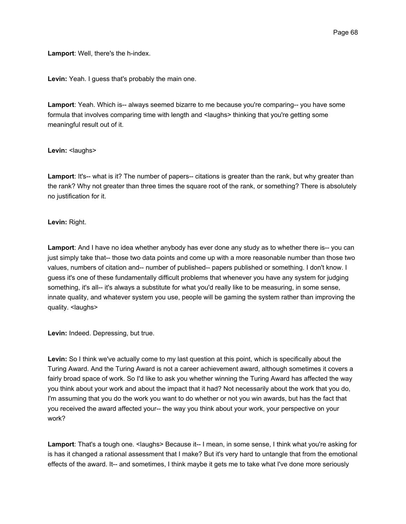**Lamport**: Well, there's the h-index.

**Levin:** Yeah. I guess that's probably the main one.

**Lamport**: Yeah. Which is-- always seemed bizarre to me because you're comparing-- you have some formula that involves comparing time with length and <laughs> thinking that you're getting some meaningful result out of it.

# Levin: <laughs>

**Lamport**: It's-- what is it? The number of papers-- citations is greater than the rank, but why greater than the rank? Why not greater than three times the square root of the rank, or something? There is absolutely no justification for it.

# **Levin:** Right.

Lamport: And I have no idea whether anybody has ever done any study as to whether there is-- you can just simply take that-- those two data points and come up with a more reasonable number than those two values, numbers of citation and-- number of published-- papers published or something. I don't know. I guess it's one of these fundamentally difficult problems that whenever you have any system for judging something, it's all-- it's always a substitute for what you'd really like to be measuring, in some sense, innate quality, and whatever system you use, people will be gaming the system rather than improving the quality. <laughs>

**Levin:** Indeed. Depressing, but true.

**Levin:** So I think we've actually come to my last question at this point, which is specifically about the Turing Award. And the Turing Award is not a career achievement award, although sometimes it covers a fairly broad space of work. So I'd like to ask you whether winning the Turing Award has affected the way you think about your work and about the impact that it had? Not necessarily about the work that you do, I'm assuming that you do the work you want to do whether or not you win awards, but has the fact that you received the award affected your-- the way you think about your work, your perspective on your work?

Lamport: That's a tough one. <laughs> Because it-- I mean, in some sense, I think what you're asking for is has it changed a rational assessment that I make? But it's very hard to untangle that from the emotional effects of the award. It-- and sometimes, I think maybe it gets me to take what I've done more seriously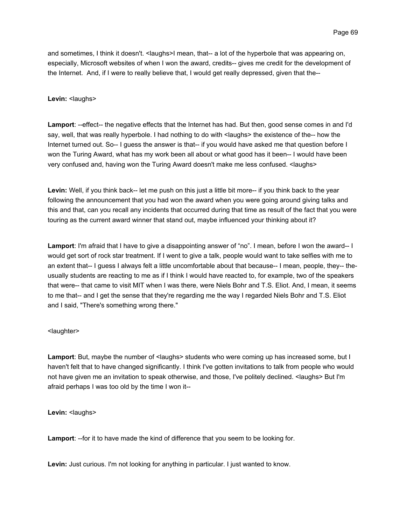and sometimes, I think it doesn't. <laughs>I mean, that-- a lot of the hyperbole that was appearing on, especially, Microsoft websites of when I won the award, credits-- gives me credit for the development of the Internet. And, if I were to really believe that, I would get really depressed, given that the--

# Levin: <laughs>

**Lamport**: --effect-- the negative effects that the Internet has had. But then, good sense comes in and I'd say, well, that was really hyperbole. I had nothing to do with <laughs> the existence of the-- how the Internet turned out. So-- I guess the answer is that-- if you would have asked me that question before I won the Turing Award, what has my work been all about or what good has it been-- I would have been very confused and, having won the Turing Award doesn't make me less confused. <laughs>

**Levin:** Well, if you think back-- let me push on this just a little bit more-- if you think back to the year following the announcement that you had won the award when you were going around giving talks and this and that, can you recall any incidents that occurred during that time as result of the fact that you were touring as the current award winner that stand out, maybe influenced your thinking about it?

**Lamport**: I'm afraid that I have to give a disappointing answer of "no". I mean, before I won the award-- I would get sort of rock star treatment. If I went to give a talk, people would want to take selfies with me to an extent that-- I guess I always felt a little uncomfortable about that because-- I mean, people, they-- theusually students are reacting to me as if I think I would have reacted to, for example, two of the speakers that were-- that came to visit MIT when I was there, were Niels Bohr and T.S. Eliot. And, I mean, it seems to me that-- and I get the sense that they're regarding me the way I regarded Niels Bohr and T.S. Eliot and I said, "There's something wrong there."

# <laughter>

Lamport: But, maybe the number of <laughs> students who were coming up has increased some, but I haven't felt that to have changed significantly. I think I've gotten invitations to talk from people who would not have given me an invitation to speak otherwise, and those, I've politely declined. <laughs> But I'm afraid perhaps I was too old by the time I won it--

Levin: <laughs>

**Lamport**: --for it to have made the kind of difference that you seem to be looking for.

**Levin:** Just curious. I'm not looking for anything in particular. I just wanted to know.